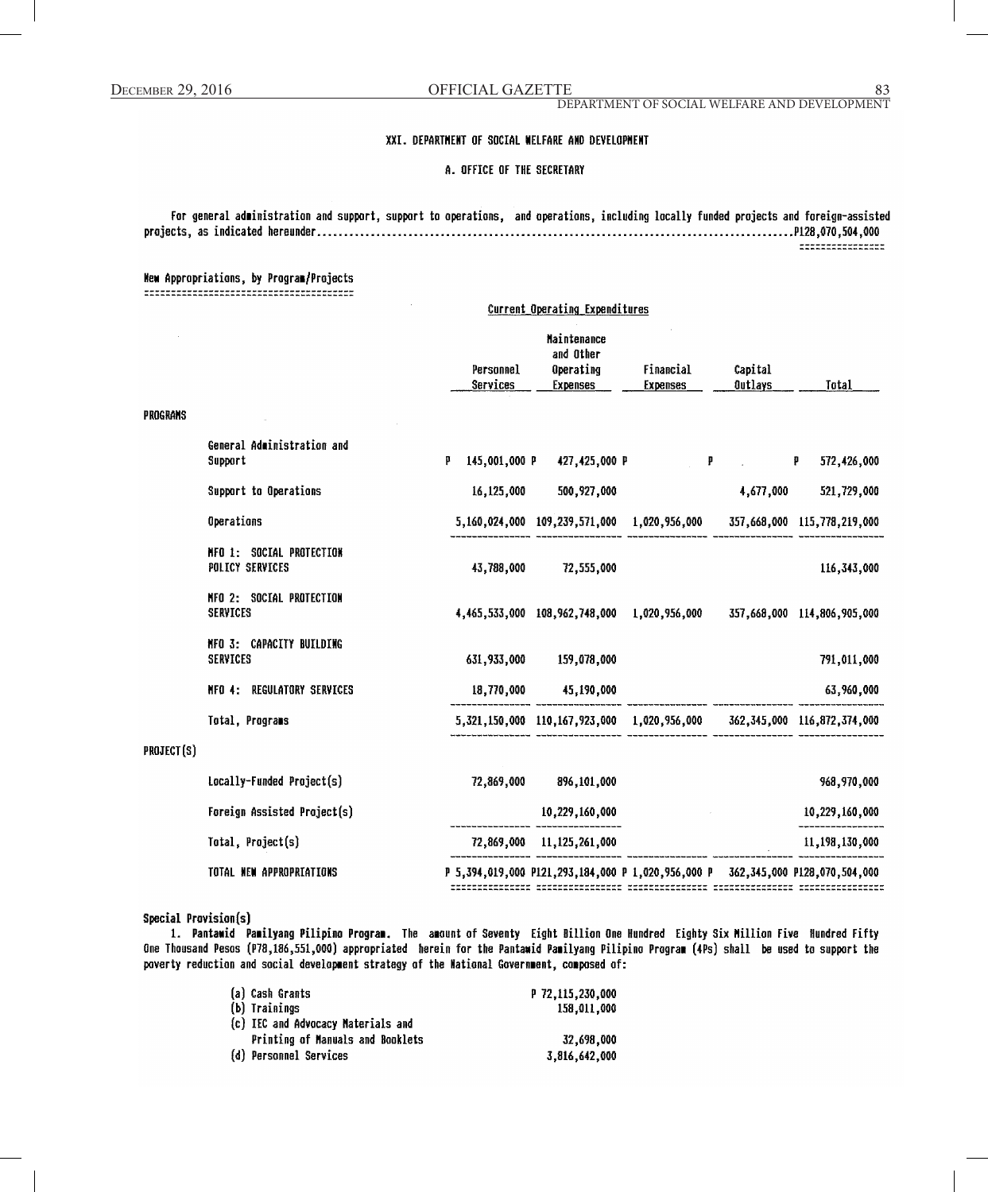#### XXI. DEPARTMENT OF SOCIAL WELFARE AND DEVELOPMENT

#### A. OFFICE OF THE SECRETARY

For general administration and support, support to operations, and operations, including locally funded projects and foreign-assisted -----------------

### New Appropriations, by Program/Projects

|            | Current Operating Expenditures              |                       |                                                                 |                                                                                 |                                                           |                             |
|------------|---------------------------------------------|-----------------------|-----------------------------------------------------------------|---------------------------------------------------------------------------------|-----------------------------------------------------------|-----------------------------|
|            |                                             | Personnel<br>Services | <b>Maintenance</b><br>and Other<br>Operating<br><b>Expenses</b> | Financial<br><b>Expenses</b>                                                    | Capital<br>Outlays                                        | Total                       |
| PROGRAMS   |                                             |                       |                                                                 |                                                                                 |                                                           |                             |
|            | General Administration and<br>Support       | p                     | 145,001,000 P 427,425,000 P                                     |                                                                                 | $\mathbf{P}$ and $\mathbf{P}$ are the set of $\mathbf{P}$ | 572,426,000<br>- 12         |
|            | Support to Operations                       | 16,125,000            | 500,927,000                                                     |                                                                                 | 4,677,000                                                 | 521,729,000                 |
|            | Operations                                  |                       |                                                                 | 5,160,024,000 109,239,571,000 1,020,956,000 357,668,000 115,778,219,000         |                                                           |                             |
|            | NFO 1: SOCIAL PROTECTION<br>POLICY SERVICES | 43,788,000            | 72,555,000                                                      |                                                                                 |                                                           | 116,343,000                 |
|            | NFO 2: SOCIAL PROTECTION<br><b>SERVICES</b> |                       |                                                                 | 4,465,533,000 108,962,748,000 1,020,956,000                                     |                                                           | 357,668,000 114,806,905,000 |
|            | NFO 3: CAPACITY BUILDING<br>SERVICES        |                       | 631,933,000 159,078,000                                         |                                                                                 |                                                           | 791,011,000                 |
|            | NFO 4: REGULATORY SERVICES                  |                       | 18,770,000 45,190,000                                           |                                                                                 |                                                           | 63,960,000                  |
|            | Total, Programs                             |                       |                                                                 | 5,321,150,000 110,167,923,000 1,020,956,000 362,345,000 116,872,374,000         |                                                           |                             |
| PROJECT(S) |                                             |                       |                                                                 |                                                                                 |                                                           |                             |
|            | Locally-Funded Project(s)                   |                       | 72,869,000 896,101,000                                          |                                                                                 |                                                           | 968,970,000                 |
|            | Foreign Assisted Project(s)                 |                       | 10,229,160,000                                                  |                                                                                 |                                                           | 10,229,160,000              |
|            | Total, Project(s)                           |                       | 72,869,000 11,125,261,000                                       |                                                                                 |                                                           | 11,198,130,000              |
|            | TOTAL NEW APPROPRIATIONS                    |                       |                                                                 | P 5,394,019,000 P121,293,184,000 P 1,020,956,000 P 362,345,000 P128,070,504,000 |                                                           |                             |

P 5,394,019,000 P121,293,184,000 P 1,020,956,000 P 362,345,000 P128,070,504,000 

Special Provision(s)

1. Pantawid Pamilyang Pilipino Program. The amount of Seventy Eight Billion One Hundred Eighty Six Million Five Hundred Fifty One Thousand Pesos (P78,186,551,000) appropriated herein for the Pantawid Pamilyang Pilipino Program (4Ps) shall be used to support the poverty reduction and social development strategy of the National Government, composed of:

| (a) Cash Grants                    | P 72.115.230.000 |
|------------------------------------|------------------|
| (b) Trainings                      | 158.011.000      |
| (c) IEC and Advocacy Materials and |                  |
| Printing of Manuals and Booklets   | 32.698.000       |
| (d) Personnel Services             | 3.816.642.000    |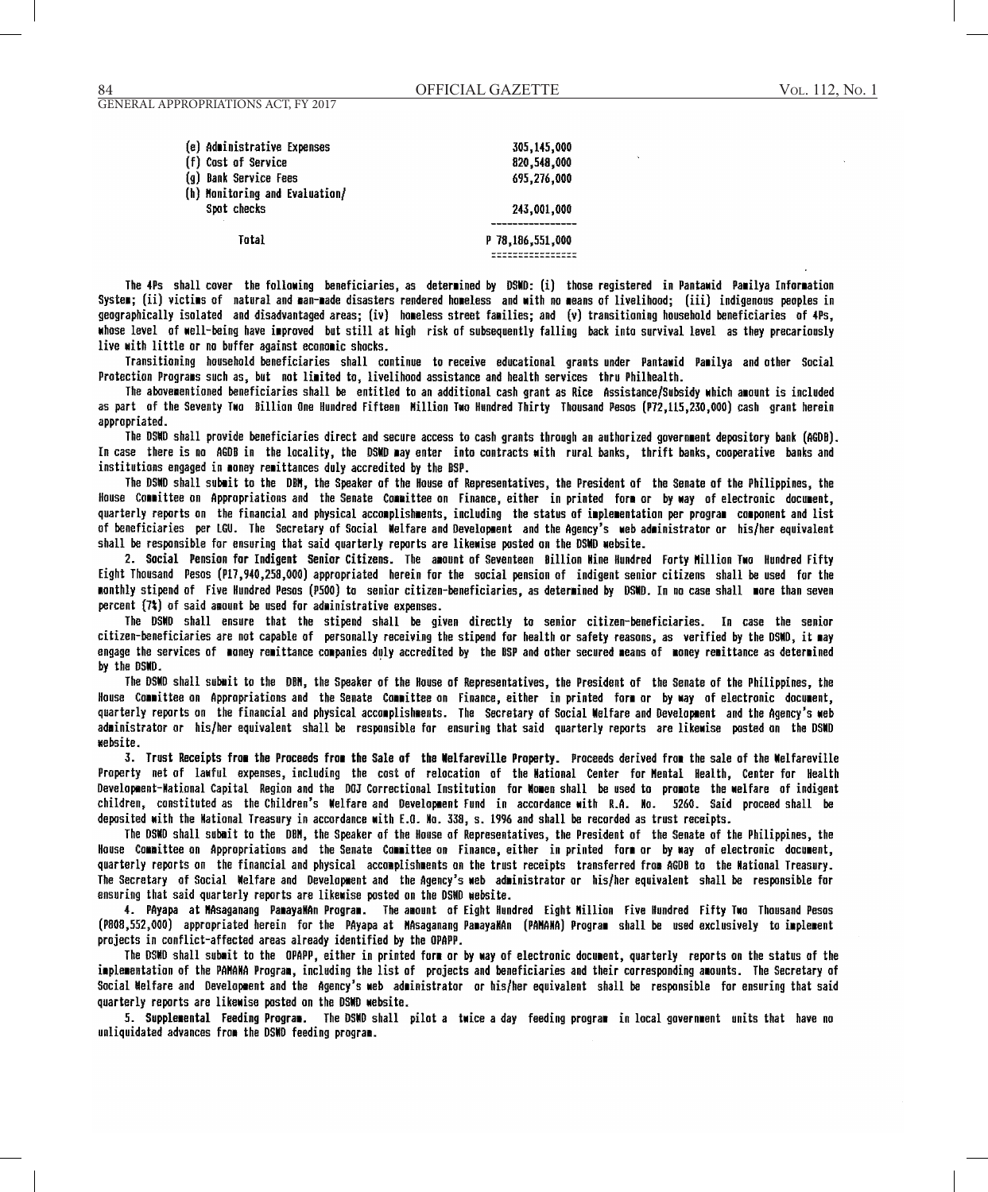| (e) Administrative Expenses    | 305,145,000      |
|--------------------------------|------------------|
| (f) Cost of Service            | 820,548,000      |
| (g) Bank Service Fees          | 695,276,000      |
| (h) Monitoring and Evaluation/ |                  |
| Spot checks                    | 243,001,000      |
|                                |                  |
| Total                          | P 78,186,551,000 |
|                                |                  |

The 4Ps shall cover the following beneficiaries, as determined by DSWD: (i) those registered in Pantawid Pamilya Information System; (ii) victims of natural and man-made disasters rendered homeless and with no means of livelihood; (iii) indigenous peoples in geographically isolated and disadvantaged areas; (iv) homeless street families; and (v) transitioning household beneficiaries of 4Ps, whose level of well-being have improved but still at high risk of subsequently falling back into survival level as they precariously live with little or no buffer against economic shocks.

Transitioning household beneficiaries shall continue to receive educational grants under Pantawid Pamilya and other Social Protection Programs such as, but not limited to, livelihood assistance and health services thru Philhealth.

The abovementioned beneficiaries shall be entitled to an additional cash grant as Rice Assistance/Subsidy which amount is included as part of the Seventy Two Billion One Hundred Fifteen Million Two Hundred Thirty Thousand Pesos (P72,115,230,000) cash grant herein appropriated.

The DSWD shall provide beneficiaries direct and secure access to cash grants through an authorized government depository bank (AGDB). In case there is no AGDB in the locality, the DSMD may enter into contracts with rural banks, thrift banks, cooperative banks and institutions engaged in money remittances duly accredited by the BSP.

The DSMD shall submit to the DBM, the Speaker of the House of Representatives, the President of the Senate of the Philippines, the House Committee on Appropriations and the Senate Committee on Finance, either in printed form or by way of electronic document, quarterly reports on the financial and physical accomplishments, including the status of implementation per program component and list of beneficiaries per LGU. The Secretary of Social Welfare and Development and the Agency's web administrator or his/her equivalent shall be responsible for ensuring that said quarterly reports are likewise posted on the DSMD website.

2. Social Pension for Indigent Senior Citizens. The amount of Seventeen Billion Mine Hundred Forty Million Two Hundred Fifty Eight Thousand Pesos (P17,940,258,000) appropriated herein for the social pension of indigent senior citizens shall be used for the monthly stipend of Five Hundred Pesos (P500) to senior citizen-beneficiaries, as determined by DSMD. In no case shall more than seven percent (7%) of said amount be used for administrative expenses.

The DSWD shall ensure that the stipend shall be given directly to senior citizen-beneficiaries. In case the senior citizen-beneficiaries are not capable of personally receiving the stipend for health or safety reasons, as verified by the DSMD, it may engage the services of money remittance companies duly accredited by the BSP and other secured means of money remittance as determined by the DSMD.

The DSWD shall submit to the DBM, the Speaker of the House of Representatives, the President of the Senate of the Philippines, the House Committee on Appropriations and the Senate Committee on Finance, either in printed form or by way of electronic document, quarterly reports on the financial and physical accomplishments. The Secretary of Social Welfare and Development and the Agency's web administrator or his/her equivalent shall be responsible for ensuring that said quarterly reports are likewise posted on the DSWD website.

3. Trust Receipts from the Proceeds from the Sale of the Welfareville Property. Proceeds derived from the sale of the Welfareville Property net of lawful expenses, including the cost of relocation of the National Center for Mental Health, Center for Health Development-Mational Capital Region and the DOJ Correctional Institution for Momen shall be used to promote the welfare of indigent children, constituted as the Children's Welfare and Development Fund in accordance with R.A. No. 5260. Said proceed shall be deposited with the Mational Treasury in accordance with E.G. Mo. 338, s. 1996 and shall be recorded as trust receipts.

The DSWD shall submit to the DBM, the Speaker of the House of Representatives, the President of the Senate of the Philippines, the House Committee on Appropriations and the Senate Committee on Finance, either in printed form or by way of electronic document, quarterly reports on the financial and physical accomplishments on the trust receipts transferred from AGDB to the Mational Treasury. The Secretary of Social Welfare and Development and the Agency's web administrator or his/her equivalent shall be responsible for ensuring that said quarterly reports are likewise posted on the DSND website.

4. PAyapa at MAsaganang PamayaMAn Program. The amount of Eight Hundred Eight Million Five Hundred Fifty Two Thousand Pesos (P808,552,000) appropriated herein for the PAyapa at MAsaganang PamayaMAn (PAMAMA) Program shall be used exclusively to implement projects in conflict-affected areas already identified by the OPAPP.

The DSMD shall submit to the OPAPP, either in printed form or by way of electronic document, quarterly reports on the status of the implementation of the PAMAMA Program, including the list of projects and beneficiaries and their corresponding amounts. The Secretary of Social Melfare and Development and the Agency's web administrator or his/her equivalent shall be responsible for ensuring that said quarterly reports are likewise posted on the DSMD website.

5. Supplemental Feeding Program. The DSWD shall pilot a twice a day feeding program in local government units that have no unliquidated advances from the DSMD feeding program.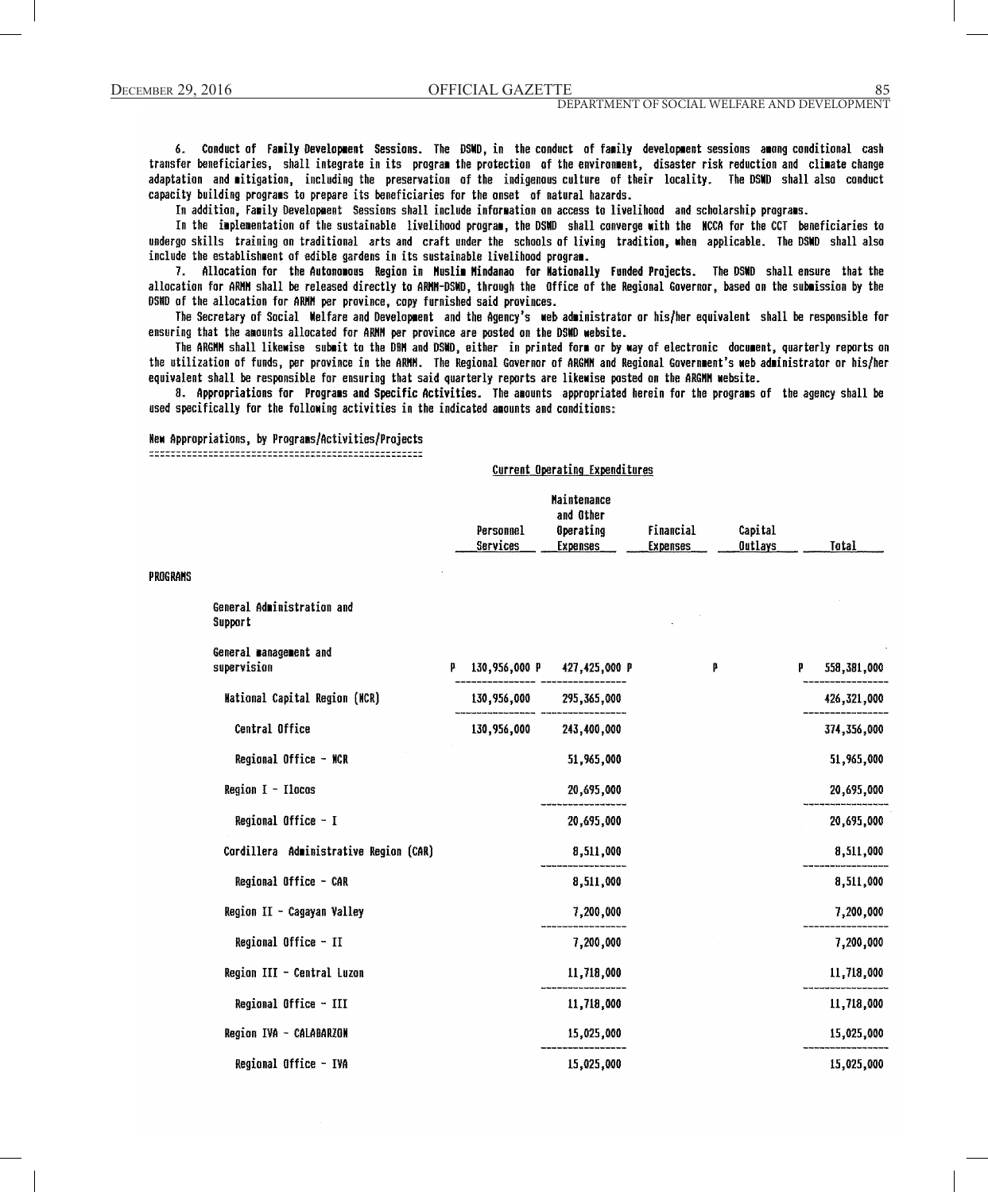PROGRAMS

6. Conduct of Family Development Sessions. The DSWD, in the conduct of family development sessions among conditional cash transfer beneficiaries, shall integrate in its program the protection of the environment, disaster risk reduction and climate change adaptation and mitigation, including the preservation of the indigenous culture of their locality. The DSWD shall also conduct capacity building programs to prepare its beneficiaries for the onset of natural hazards.

In addition, Family Development Sessions shall include information on access to livelihood and scholarship programs.

In the implementation of the sustainable livelihood program, the DSMD shall converge with the NCCA for the CCT beneficiaries to undergo skills training on traditional arts and craft under the schools of living tradition, when applicable. The DSWD shall also include the establishment of edible gardens in its sustainable livelihood program.

7. Allocation for the Autonomous Region in Muslim Mindanao for Wationally Funded Projects. The DSWD shall ensure that the allocation for ARMM shall be released directly to ARMM-DSMD, through the Office of the Regional Governor, based on the submission by the DSWD of the allocation for ARMM per province, copy furnished said provinces.

The Secretary of Social Welfare and Development and the Agency's web administrator or his/her equivalent shall be responsible for ensuring that the amounts allocated for ARMM per province are posted on the DSMD website.

The ARGMM shall likewise submit to the DBM and DSMD, either in printed form or by way of electronic document, quarterly reports on the utilization of funds, per province in the ARMM. The Regional Governor of ARGMM and Regional Government's web administrator or his/her equivalent shall be responsible for ensuring that said quarterly reports are likewise posted on the ARGMM website.

8. Appropriations for Programs and Specific Activities. The amounts appropriated herein for the programs of the agency shall be used specifically for the following activities in the indicated amounts and conditions:

Current Operating Expenditures

### New Appropriations, by Programs/Activities/Projects

|                                        | Personnel<br>Services | Maintenance<br>and Other<br>Operating<br><b>Expenses</b> | Financial<br><b>Expenses</b> | Capital<br>Outlays |   | Total       |
|----------------------------------------|-----------------------|----------------------------------------------------------|------------------------------|--------------------|---|-------------|
| General Administration and<br>Support  |                       |                                                          |                              |                    |   |             |
| General management and<br>supervision  | p                     | 130,956,000 P 427,425,000 P                              | p                            |                    | P | 558,381,000 |
| <b>Mational Capital Region (MCR)</b>   | 130,956,000           | 295,365,000                                              |                              |                    |   | 426,321,000 |
| Central Office                         | 130,956,000           | 243,400,000                                              |                              |                    |   | 374,356,000 |
| Regional Office - NCR                  |                       | 51,965,000                                               |                              |                    |   | 51,965,000  |
| Region $I - Ilocos$                    |                       | 20,695,000                                               |                              |                    |   | 20,695,000  |
| Regional Office - I                    |                       | 20,695,000                                               |                              |                    |   | 20,695,000  |
| Cordillera Administrative Region (CAR) |                       | 8,511,000                                                |                              |                    |   | 8,511,000   |
| Regional Office - CAR                  |                       | 8,511,000                                                |                              |                    |   | 8,511,000   |
| Region II - Cagayan Valley             |                       | 7,200,000                                                |                              |                    |   | 7,200,000   |
| Regional Office - II                   |                       | 7,200,000                                                |                              |                    |   | 7,200,000   |
| Region III - Central Luzon             |                       | 11,718,000                                               |                              |                    |   | 11,718,000  |
| Regional Office - III                  |                       | 11,718,000                                               |                              |                    |   | 11,718,000  |
| Region IVA - CALABARZON                |                       | 15,025,000                                               |                              |                    |   | 15,025,000  |
| Regional Office - IVA                  |                       | 15.025.000                                               |                              |                    |   | 15.025.000  |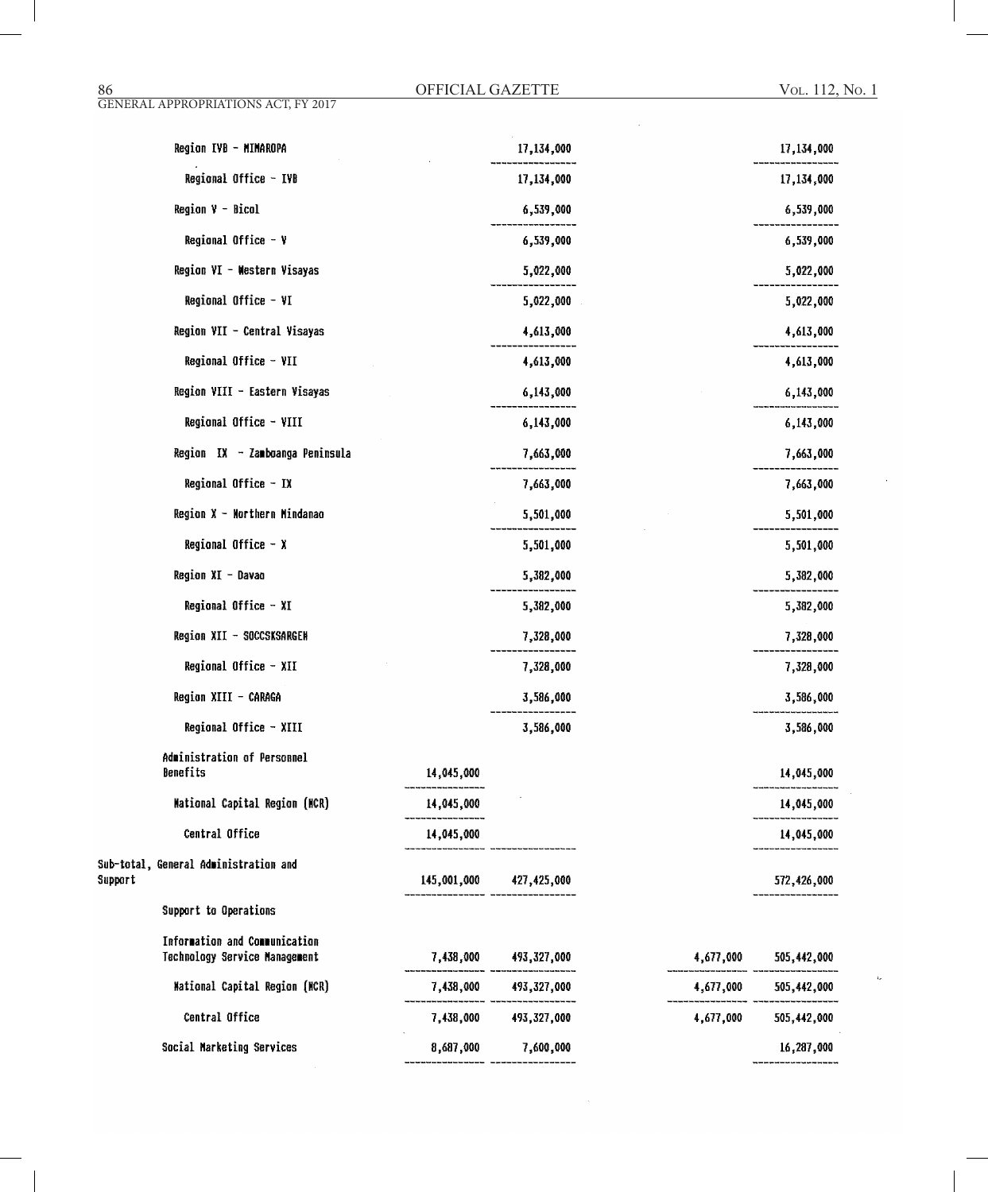| Region IVB - MINAROPA                                          |             | 17,134,000            |           | 17,134,000  |
|----------------------------------------------------------------|-------------|-----------------------|-----------|-------------|
| Regional Office - IVB                                          |             | 17,134,000            |           | 17,134,000  |
| Region $V - Bicol$                                             |             | 6,539,000             |           | 6,539,000   |
| <b>Regional Office - Y</b>                                     |             | 6,539,000             |           | 6,539,000   |
| Region VI - Western Visayas                                    |             | 5,022,000             |           | 5,022,000   |
| Regional Office - VI                                           |             | 5,022,000             |           | 5,022,000   |
| Region VII - Central Visayas                                   |             | 4,613,000             |           | 4,613,000   |
| Regional Office - VII                                          |             | 4,613,000             |           | 4,613,000   |
| Region VIII - Eastern Visayas                                  |             | 6,143,000             |           | 6,143,000   |
| Regional Office - VIII                                         |             | 6,143,000             |           | 6,143,000   |
| Region IX - Zamboanga Peninsula                                |             | 7,663,000             |           | 7,663,000   |
| Regional Office - IX                                           |             | 7,663,000             |           | 7,663,000   |
| Region X - Northern Mindanae                                   |             | 5,501,000             |           | 5,501,000   |
| Regional Office $- x$                                          |             | 5,501,000             |           | 5,501,000   |
| Region XI - Davao                                              |             | 5,382,000             |           | 5,382,000   |
| Regional Office - XI                                           |             | 5,382,000             |           | 5,382,000   |
| Region XII - SOCCSKSARGEN                                      |             | 7,328,000             |           | 7,328,000   |
| Regional Office - XII                                          |             | 7,328,000             |           | 7,328,000   |
| Region XIII - CARAGA                                           |             | 3,586,000             |           | 3,586,000   |
| Regional Office - XIII                                         |             | 3,586,000             |           | 3,586,000   |
| Administration of Personnel<br>Benefits                        | 14,045,000  |                       |           | 14,045,000  |
| Mational Capital Region (NCR)                                  | 14,045,000  |                       |           | 14,045,000  |
| Central Office                                                 | 14,045,000  |                       |           | 14,045,000  |
| Sub-total, General Administration and<br>Support               | 145,001,000 | 427,425,000           |           | 572,426,000 |
| Support to Operations                                          |             |                       |           |             |
| Information and Communication<br>Technology Service Management | 7,438,000   | 493,327,000           | 4,677,000 | 505,442,000 |
| Mational Capital Region (NCR)                                  |             | 7,438,000 493,327,000 | 4,677,000 | 505,442,000 |
| Central Office                                                 | 7,438,000   | 493,327,000           | 4,677,000 | 505,442,000 |
| Social Marketing Services                                      | 8,687,000   | 7,600,000             |           | 16,287,000  |

- ----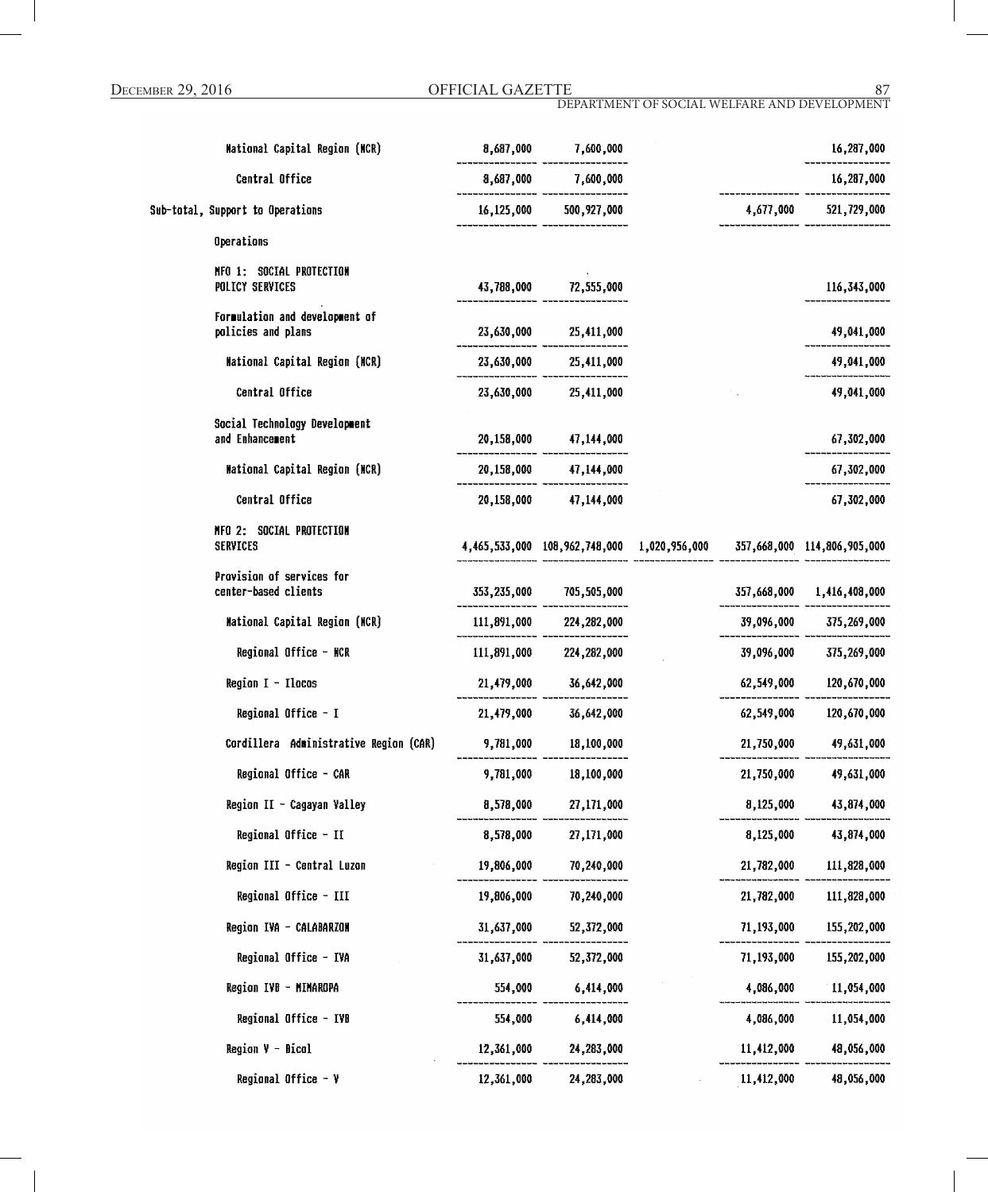| Mational Capital Region (MCR)                        | 8,687,000  | 7,600,000                                                               |            | 16,287,000                |
|------------------------------------------------------|------------|-------------------------------------------------------------------------|------------|---------------------------|
| Central Office                                       |            | 8,687,000 7,600,000                                                     |            | 16,287,000                |
| Sub-total, Support to Operations                     |            | 16,125,000 500,927,000                                                  |            | 4,677,000 521,729,000     |
| Operations                                           |            |                                                                         |            |                           |
| NFO 1: SOCIAL PROTECTION<br>POLICY SERVICES          |            | 43,788,000 72,555,000                                                   |            | 116,343,000               |
| Formulation and development of<br>policies and plans |            | 23,630,000 25,411,000                                                   |            | 49,041,000                |
| <b>Mational Capital Region (MCR)</b>                 |            | 23,630,000 25,411,000                                                   |            | 49,041,000                |
| Central Office                                       |            | 23,630,000 25,411,000                                                   |            | 49,041,000                |
| Social Technology Development<br>and Enhancement     |            | 20,158,000 47,144,000                                                   |            | 67,302,000                |
| <b>Mational Capital Region (NCR)</b>                 |            | 20,158,000 47,144,000                                                   |            | 67,302,000                |
| Central Office                                       |            | 20,158,000 47,144,000                                                   |            | 67,302,000                |
| NFO 2: SOCIAL PROTECTION<br>SERVICES                 |            | 4,465,533,000 108,962,748,000 1,020,956,000 357,668,000 114,806,905,000 |            |                           |
| Provision of services for<br>center-based clients    |            | 353,235,000 705,505,000                                                 |            | 357,668,000 1,416,408,000 |
| Mational Capital Region (MCR)                        |            | 111,891,000 224,282,000                                                 |            | 39,096,000 375,269,000    |
| Regional Office - NCR                                |            | 111,891,000 224,282,000                                                 |            | 39,096,000 375,269,000    |
| Region $I - Ilocos$                                  |            | 21,479,000 36,642,000                                                   |            | 62,549,000 120,670,000    |
| Regional Office - I                                  | 21,479,000 | 36,642,000                                                              | 62,549,000 | 120,670,000               |
| Cordillera Administrative Region (CAR)               |            | 9,781,000 18,100,000                                                    | 21,750,000 | 49,631,000                |
| Regional Office - CAR                                | 9,781,000  | 18,100,000                                                              | 21,750,000 | 49,631,000                |
| Region II - Cagayan Valley                           | 8,578,000  | 27,171,000                                                              | 8,125,000  | 43,874,000                |
| Regional Office - II                                 | 8,578,000  | 27,171,000                                                              | 8,125,000  | 43,874,000                |
| Region III - Central Luzon                           | 19,806,000 | 70,240,000                                                              | 21,782,000 | 111,828,000               |
| Regional Office - III                                | 19,806,000 | 70,240,000                                                              | 21,782,000 | 111,828,000               |
| Region IVA - CALABARZON                              | 31,637,000 | 52,372,000                                                              | 71,193,000 | 155,202,000               |
| Regional Office - IVA                                | 31,637,000 | 52,372,000                                                              | 71,193,000 | 155,202,000               |
| Region IVB - MIMAROPA                                | 554,000    | 6,414,000                                                               | 4,086,000  | 11,054,000                |
| Regional Office - IVB                                | 554,000    | 6,414,000                                                               | 4,086,000  | 11,054,000                |
| Region $V - Bical$                                   | 12,361,000 | 24,283,000                                                              | 11,412,000 | 48,056,000                |
| Regional Office - V                                  | 12.361.000 | 24.283.000                                                              | 11.412.000 | 48.056.000                |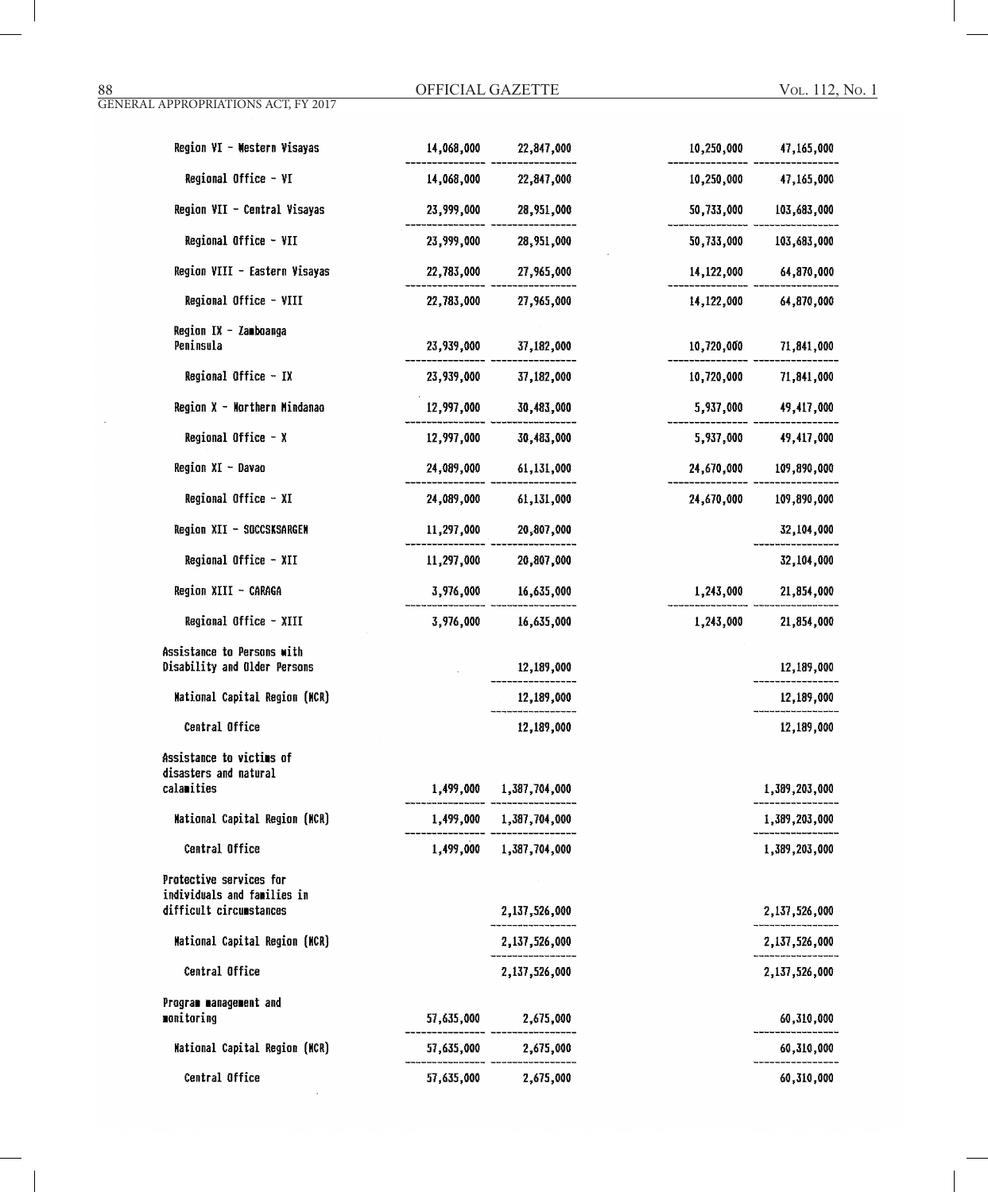| Region VI - Western Visayas                                     | 14,068,000 | 22,847,000              | 10,250,000 | 47,165,000    |
|-----------------------------------------------------------------|------------|-------------------------|------------|---------------|
| Regional Office - VI                                            | 14,068,000 | 22,847,000              | 10,250,000 | 47,165,000    |
| Region VII - Central Visayas                                    | 23,999,000 | 28,951,000              | 50,733,000 | 103,683,000   |
| Regional Office - VII                                           | 23,999,000 | 28,951,000              | 50,733,000 | 103,683,000   |
| Region VIII - Eastern Visayas                                   | 22,783,000 | 27,965,000              | 14,122,000 | 64,870,000    |
| Regional Office - VIII                                          | 22,783,000 | 27,965,000              | 14,122,000 | 64,870,000    |
| Region IX - Zamboanga<br>Peninsula                              | 23,939,000 | 37,182,000              | 10,720,000 | 71,841,000    |
| Regional Office - IX                                            | 23,939,000 | 37,182,000              | 10,720,000 | 71,841,000    |
| Region X - Northern Mindanao                                    | 12,997,000 | 30,483,000              | 5,937,000  | 49,417,000    |
| Regional Office $- x$                                           | 12,997,000 | 30,483,000              | 5,937,000  | 49,417,000    |
| Region XI - Davao                                               | 24,089,000 | 61,131,000              | 24,670,000 | 109,890,000   |
| Regional Office - XI                                            | 24,089,000 | 61,131,000              | 24,670,000 | 109,890,000   |
| Region XII - SOCCSKSARGEN                                       | 11,297,000 | 20,807,000              |            | 32,104,000    |
| Regional Office - XII                                           | 11,297,000 | 20,807,000              |            | 32,104,000    |
| Region XIII - CARAGA                                            | 3,976,000  | 16,635,000              | 1,243,000  | 21,854,000    |
| Regional Office - XIII                                          | 3,976,000  | 16,635,000              | 1,243,000  | 21,854,000    |
| Assistance to Persons with<br>Disability and Older Persons      |            | 12,189,000              |            | 12,189,000    |
| <b>Mational Capital Region (MCR)</b>                            |            | 12,189,000              |            | 12,189,000    |
| Central Office                                                  |            | 12,189,000              |            | 12,189,000    |
| Assistance to victims of<br>disasters and natural<br>calamities |            | 1,499,000 1,387,704,000 |            | 1,389,203,000 |
| <b>Mational Capital Region (MCR)</b>                            |            | 1,499,000 1,387,704,000 |            | 1,389,203,000 |
| Central Office                                                  |            | 1,499,000 1,387,704,000 |            | 1,389,203,000 |
| Protective services for<br>individuals and families in          |            |                         |            |               |
| difficult circumstances                                         |            | 2,137,526,000           |            | 2,137,526,000 |
| <b>Mational Capital Region (NCR)</b>                            |            | 2,137,526,000           |            | 2,137,526,000 |
| Central Office                                                  |            | 2,137,526,000           |            | 2,137,526,000 |
| Program management and<br>monitoring                            | 57,635,000 | 2,675,000               |            | 60,310,000    |
| <b>Mational Capital Region (MCR)</b>                            | 57,635,000 | 2,675,000               |            | 60,310,000    |
| Central Office                                                  | 57,635,000 | 2,675,000               |            | 60,310,000    |

 $\sim$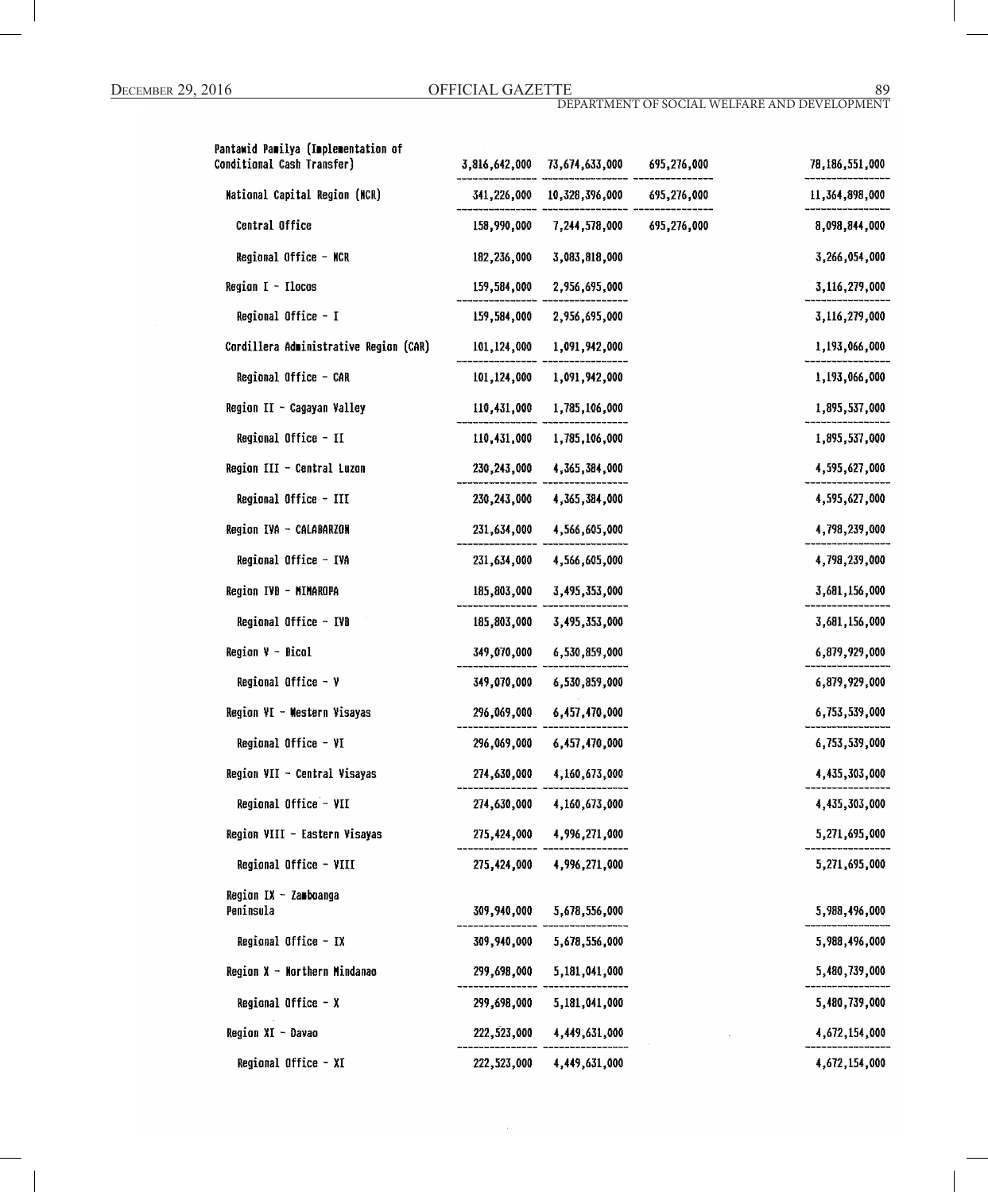| Pantawid Pamilya (Implementation of<br>Conditional Cash Transfer) |             | 3,816,642,000 73,674,633,000 695,276,000 | 78,186,551,000 |
|-------------------------------------------------------------------|-------------|------------------------------------------|----------------|
| National Capital Region (NCR)                                     |             | 341,226,000 10,328,396,000 695,276,000   | 11,364,898,000 |
| Central Office                                                    | 158,990,000 | 7,244,578,000 695,276,000                | 8,098,844,000  |
| Regional Office - NCR                                             | 182,236,000 | 3,083,818,000                            | 3,266,054,000  |
| Region I - Ilocos                                                 | 159,584,000 | 2,956,695,000                            | 3,116,279,000  |
| Regional Office - I                                               |             | 159,584,000 2,956,695,000                | 3,116,279,000  |
| Cordillera Administrative Region (CAR)                            | 101,124,000 | 1,091,942,000                            | 1,193,066,000  |
| Regional Office - CAR                                             | 101,124,000 | 1,091,942,000                            | 1,193,066,000  |
| Region II - Cagayan Valley                                        | 110,431,000 | 1,785,106,000                            | 1,895,537,000  |
| Regional Office - II                                              |             | 110,431,000 1,785,106,000                | 1,895,537,000  |
| Region III - Central Luzon                                        |             | 230, 243, 000 4, 365, 384, 000           | 4,595,627,000  |
| Regional Office - III                                             | 230,243,000 | 4,365,384,000                            | 4,595,627,000  |
| Region IVA - CALABARZON                                           |             | 231,634,000 4,566,605,000                | 4,798,239,000  |
| Regional Office - IVA                                             | 231,634,000 | 4,566,605,000                            | 4,798,239,000  |
| Region IVB - MIMAROPA                                             | 185,803,000 | 3,495,353,000                            | 3,681,156,000  |
| Regional Office - IVB                                             | 185,803,000 | 3,495,353,000                            | 3,681,156,000  |
| $Region V - Bical$                                                | 349,070,000 | 6,530,859,000                            | 6,879,929,000  |
| Regional Office $-$ Y                                             | 349,070,000 | 6,530,859,000                            | 6,879,929,000  |
| Region VI - Western Visayas                                       |             | 296,069,000 6,457,470,000                | 6,753,539,000  |
| Regional Office - VI                                              |             | 296,069,000 6,457,470,000                | 6,753,539,000  |
| Region VII - Central Visayas                                      | 274,630,000 | 4,160,673,000                            | 4,435,303,000  |
| Regional Office - VII                                             |             | 274,630,000 4,160,673,000                | 4,435,303,000  |
| Region VIII - Eastern Visayas                                     |             | 275,424,000 4,996,271,000                | 5,271,695,000  |
| Regional Office - VIII                                            |             | 275,424,000 4,996,271,000                | 5,271,695,000  |
| Region IX - Zamboanga<br>Peninsula                                | 309,940,000 | 5,678,556,000                            | 5,988,496,000  |
| Regional Office - IX                                              |             | 309,940,000 5,678,556,000                | 5,988,496,000  |
| Region X - Northern Mindanao                                      | 299,698,000 | 5,181,041,000                            | 5,480,739,000  |
| Regional Office - X                                               | 299,698,000 | 5,181,041,000                            | 5,480,739,000  |
| Region XI - Davao                                                 | 222,523,000 | 4,449,631,000                            | 4,672,154,000  |
| Regional Office - XI                                              |             | 222,523,000 4,449,631,000                | 4,672,154,000  |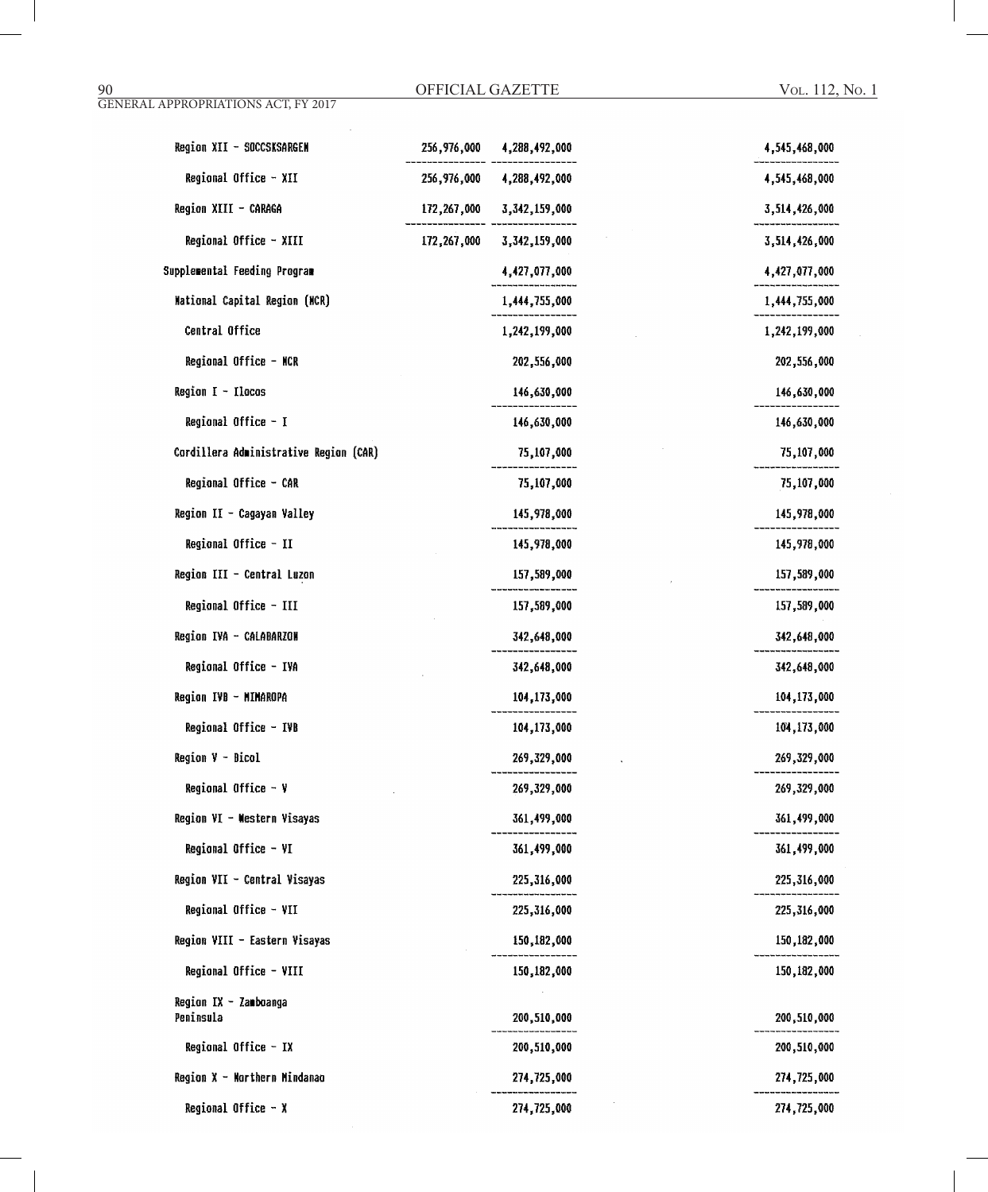| Region XII - SOCCSKSARGEN              | 256,976,000 | 4,288,492,000 | 4,545,468,000 |
|----------------------------------------|-------------|---------------|---------------|
| Regional Office - XII                  | 256,976,000 | 4,288,492,000 | 4,545,468,000 |
| Region XIII - CARAGA                   | 172,267,000 | 3,342,159,000 | 3,514,426,000 |
| Regional Office - XIII                 | 172,267,000 | 3,342,159,000 | 3,514,426,000 |
| Supplemental Feeding Program           |             | 4,427,077,000 | 4,427,077,000 |
| Mational Capital Region (MCR)          |             | 1,444,755,000 | 1,444,755,000 |
| Central Office                         |             | 1,242,199,000 | 1,242,199,000 |
| Regional Office - NCR                  |             | 202,556,000   | 202,556,000   |
| Region $I - I$ lacas                   |             | 146,630,000   | 146,630,000   |
| Regional Office - I                    |             | 146,630,000   | 146,630,000   |
| Cordillera Administrative Region (CAR) |             | 75,107,000    | 75,107,000    |
| Regional Office - CAR                  |             | 75,107,000    | 75,107,000    |
| Region II - Cagayan Valley             |             | 145,978,000   | 145,978,000   |
| Regional Office - II                   |             | 145,978,000   | 145,978,000   |
| Region III - Central Luzon             |             | 157,589,000   | 157,589,000   |
| Regional Office - III                  |             | 157,589,000   | 157,589,000   |
| Region IVA - CALABARZON                |             | 342,648,000   | 342,648,000   |
| Regional Office - IVA                  |             | 342,648,000   | 342,648,000   |
| Region IVB - MIMAROPA                  |             | 104,173,000   | 104,173,000   |
| Regional Office - IVB                  |             | 104,173,000   | 104,173,000   |
| Region V - Bicol                       |             | 269,329,000   | 269,329,000   |
| Regional Office $-$ ¥                  |             | 269,329,000   | 269,329,000   |
| Region VI - Western Visayas            |             | 361,499,000   | 361,499,000   |
| Regional Office - VI                   |             | 361,499,000   | 361,499,000   |
| Region VII - Central Visayas           |             | 225,316,000   | 225,316,000   |
| Regional Office - VII                  |             | 225,316,000   | 225,316,000   |
| Region VIII - Eastern Visayas          |             | 150,182,000   | 150,182,000   |
| Regional Office - VIII                 |             | 150,182,000   | 150,182,000   |
| Region IX - Zamboanga                  |             |               |               |
| Peninsula                              |             | 200,510,000   | 200,510,000   |
| Regional Office - IX                   |             | 200,510,000   | 200,510,000   |
| Region X - Morthern Mindanao           |             | 274,725,000   | 274,725,000   |
| Regional Office $- x$                  |             | 274,725,000   | 274,725,000   |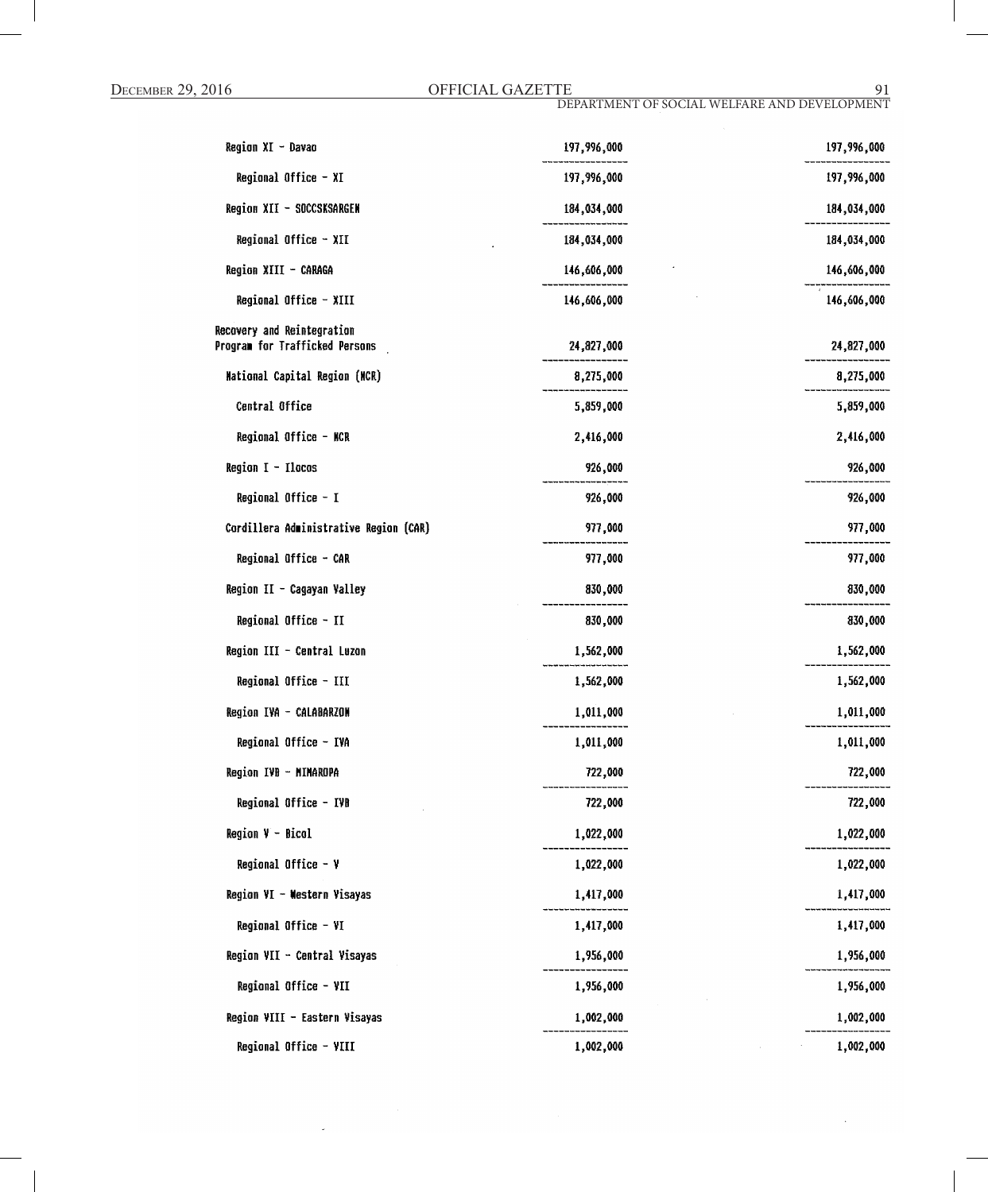| Region XI - Davao                                            | 197,996,000 | 197,996,000 |
|--------------------------------------------------------------|-------------|-------------|
| Regional Office - XI                                         | 197,996,000 | 197,996,000 |
| Region XII - SOCCSKSARGEN                                    | 184,034,000 | 184,034,000 |
| Regional Office - XII                                        | 184,034,000 | 184,034,000 |
| Region XIII - CARAGA                                         | 146,606,000 | 146,606,000 |
| Regional Office - XIII                                       | 146,606,000 | 146,606,000 |
| Recovery and Reintegration<br>Program for Trafficked Persons | 24,827,000  | 24,827,000  |
| Mational Capital Region (NCR)                                | 8,275,000   | 8,275,000   |
| Central Office                                               | 5,859,000   | 5,859,000   |
| Regional Office - NCR                                        | 2,416,000   | 2,416,000   |
| Region $I - I$ locos                                         | 926,000     | 926,000     |
| Regional Office - I                                          | 926,000     | 926,000     |
| Cordillera Administrative Region (CAR)                       | 977,000     | 977,000     |
| Regional Office - CAR                                        | 977,000     | 977,000     |
| Region II - Cagayan Valley                                   | 830,000     | 830,000     |
| Regional Office - II                                         | 830,000     | 830,000     |
| Region III - Central Luzon                                   | 1,562,000   | 1,562,000   |
| Regional Office - III                                        | 1,562,000   | 1,562,000   |
| Region IVA - CALABARZON                                      | 1,011,000   | 1,011,000   |
| Regional Office - IVA                                        | 1,011,000   | 1,011,000   |
| Region IVB - MIMAROPA                                        | 722,000     | 722,000     |
| Regional Office - IVB                                        | 722,000     | 722,000     |
| <b>Region <math>V - Bicol</math></b>                         | 1,022,000   | 1,022,000   |
| Regional Office - Y                                          | 1,022,000   | 1,022,000   |
| Region VI - Western Visayas                                  | 1,417,000   | 1,417,000   |
| Regional Office - VI                                         | 1,417,000   | 1,417,000   |
| Region VII - Central Visayas                                 | 1,956,000   | 1,956,000   |
| Regional Office - VII                                        | 1,956,000   | 1,956,000   |
| Region VIII - Eastern Visayas                                | 1,002,000   | 1,002,000   |
| Regional Office - VIII                                       | 1,002,000   | 1,002,000   |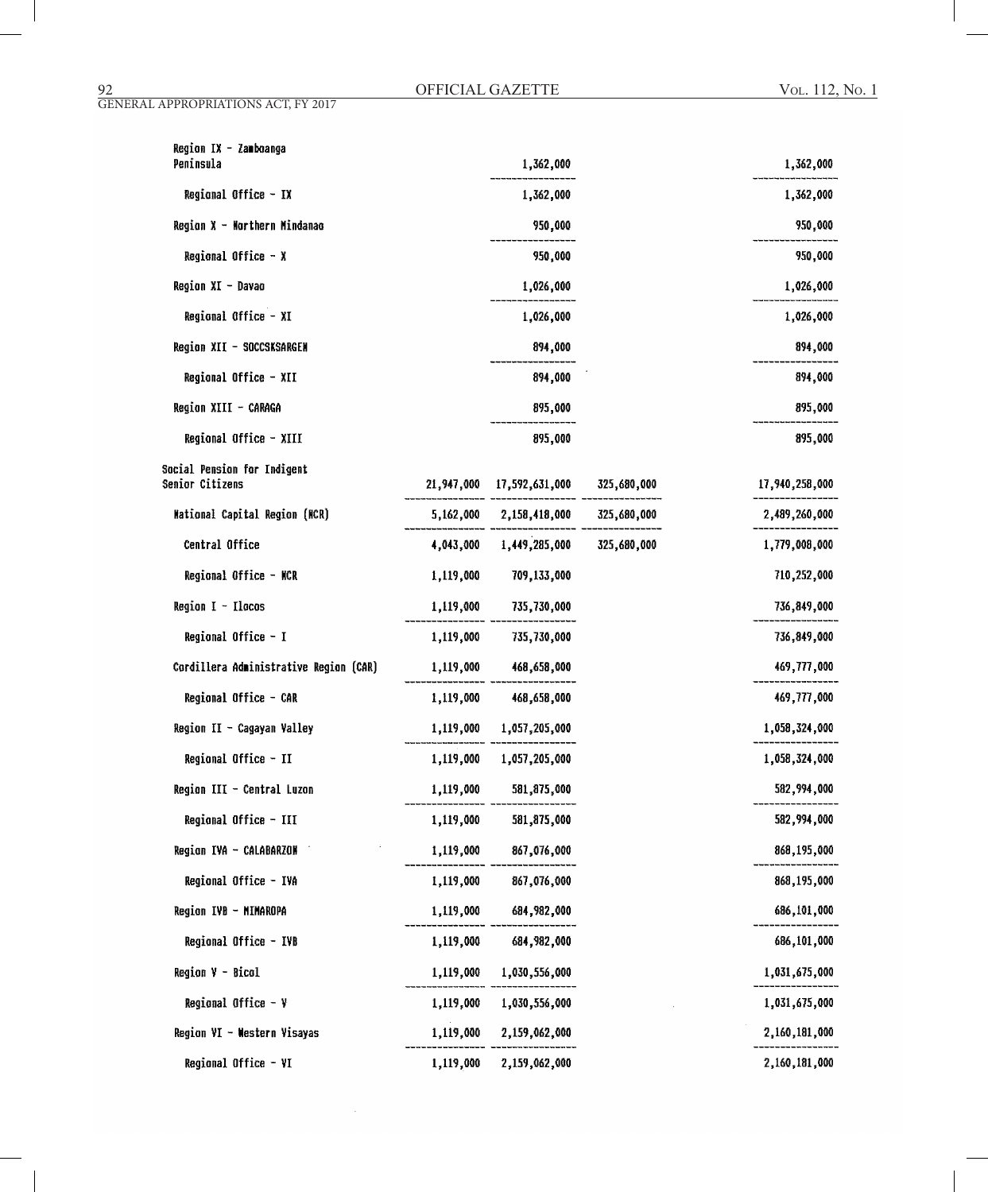GENERAL APPROPRIATIONS ACT, FY 2017

| Region IX - Zamboanga<br>Peninsula             |           | 1,362,000                             | 1,362,000      |
|------------------------------------------------|-----------|---------------------------------------|----------------|
| Regional Office - IX                           |           | 1,362,000                             | 1,362,000      |
| Region X - Northern Mindanao                   |           | 950,000                               | 950,000        |
| Regional Office - X                            |           | 950,000                               | 950,000        |
| Region XI - Davao                              |           |                                       |                |
|                                                |           | 1,026,000                             | 1,026,000      |
| Regional Office - XI                           |           | 1,026,000                             | 1,026,000      |
| Region XII - SOCCSKSARGEN                      |           | 894,000                               | 894,000        |
| Regional Office - XII                          |           | 894,000                               | 894,000        |
| Region XIII - CARAGA                           |           | 895,000                               | 895,000        |
| Regional Office - XIII                         |           | 895,000                               | 895,000        |
| Social Pension for Indigent<br>Senior Citizens |           | 21,947,000 17,592,631,000 325,680,000 | 17,940,258,000 |
| Mational Capital Region (MCR)                  |           | 5,162,000 2,158,418,000 325,680,000   | 2,489,260,000  |
| Central Office                                 |           | 4,043,000 1,449,285,000 325,680,000   | 1,779,008,000  |
| Regional Office - NCR                          | 1,119,000 | 709,133,000                           | 710,252,000    |
| Region $I - I$ lacos                           |           | 1,119,000 735,730,000                 | 736,849,000    |
| Regional Office - I                            |           | 1,119,000 735,730,000                 | 736,849,000    |
| Cordillera Administrative Region (CAR)         |           | 1,119,000 468,658,000                 | 469,777,000    |
| Regional Office - CAR                          |           | 1,119,000 468,658,000                 | 469,777,000    |
| Region II - Cagayan Valley                     |           | 1,119,000 1,057,205,000               | 1,058,324,000  |
| Regional Office - II                           |           | 1,119,000 1,057,205,000               | 1,058,324,000  |
| Region III - Central Luzon                     | 1,119,000 | 581,875,000                           | 582,994,000    |
| Regional Office - III                          | 1,119,000 | 581,875,000                           | 582,994,000    |
| Region IVA - CALABARZON                        | 1,119,000 | 867,076,000                           | 868,195,000    |
| Regional Office - IVA                          | 1,119,000 | 867,076,000                           | 868,195,000    |
| Region IVB - MIMAROPA                          | 1,119,000 | 684,982,000                           | 686,101,000    |
| Regional Office - IVB                          | 1,119,000 | 684,982,000                           | 686,101,000    |
| Region V - Bicol                               | 1,119,000 | 1,030,556,000                         | 1,031,675,000  |
| Regional Office $-$ Y                          | 1,119,000 | 1,030,556,000                         | 1,031,675,000  |
| Region VI - Western Visayas                    | 1,119,000 | 2,159,062,000                         | 2,160,181,000  |
| Regional Office - VI                           | 1,119,000 | 2,159,062,000                         | 2,160,181,000  |

÷.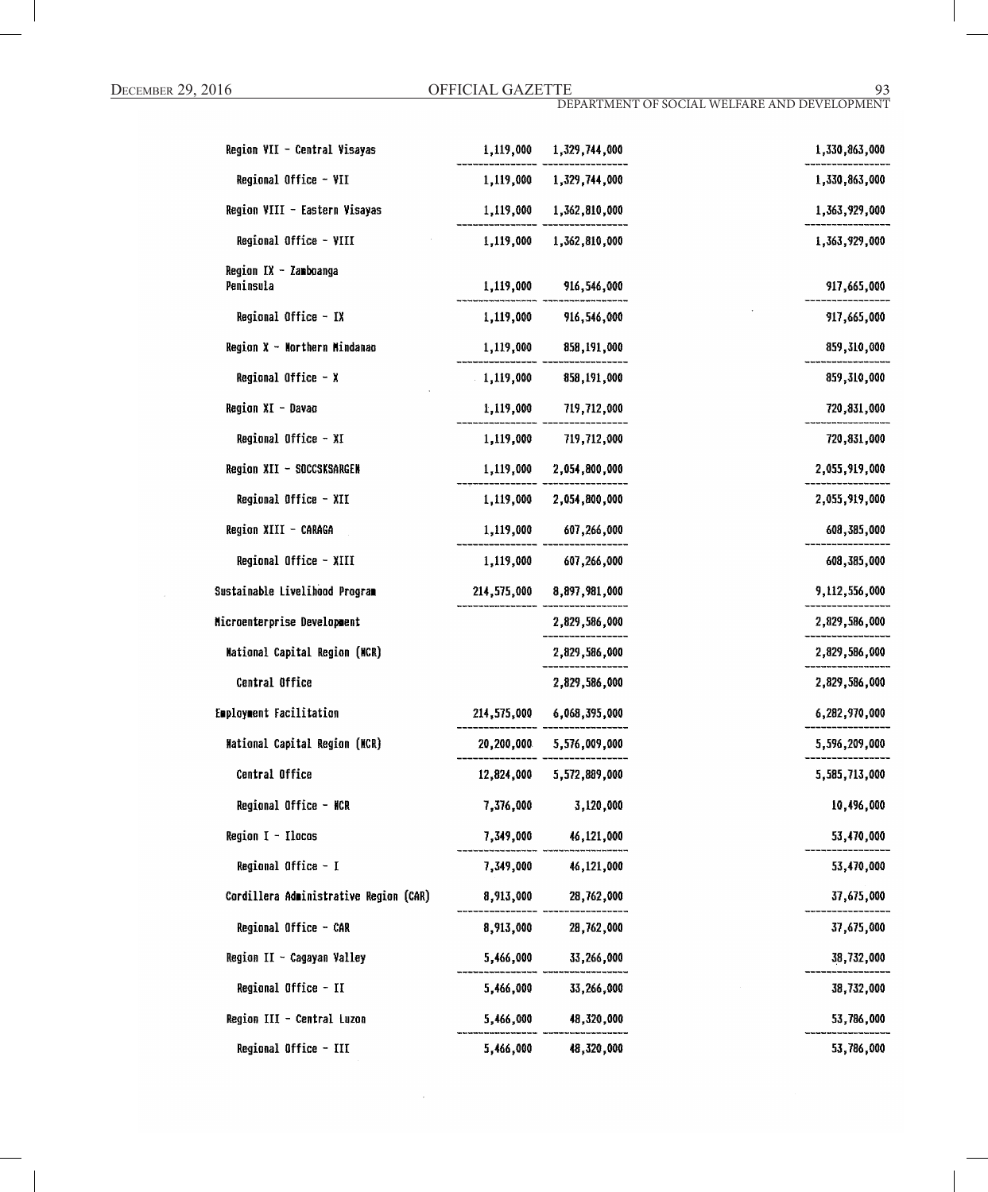| Region VII - Central Visayas           |            | 1,119,000 1,329,744,000   | 1,330,863,000 |
|----------------------------------------|------------|---------------------------|---------------|
|                                        |            |                           |               |
| Regional Office - VII                  |            | 1,119,000 1,329,744,000   | 1,330,863,000 |
| Region VIII - Eastern Visayas          |            | 1,119,000 1,362,810,000   | 1,363,929,000 |
| Regional Office - VIII                 | 1,119,000  | 1,362,810,000             | 1,363,929,000 |
| Region IX - Zamboanga<br>Peninsula     | 1,119,000  | 916,546,000               | 917,665,000   |
| Regional Office - IX                   |            | 1,119,000 916,546,000     | 917,665,000   |
| Region X - Morthern Mindanao           |            | 1,119,000 858,191,000     | 859,310,000   |
| Regional Office - X                    |            | $1,119,000$ 858,191,000   | 859,310,000   |
| Region XI - Davao                      | 1,119,000  | 719,712,000               | 720,831,000   |
| Regional Office - XI                   | 1,119,000  | 719,712,000               | 720,831,000   |
| Region XII - SOCCSKSARGEN              |            | 1,119,000 2,054,800,000   | 2,055,919,000 |
| Regional Office - XII                  |            | 1,119,000 2,054,800,000   | 2,055,919,000 |
| Region XIII - CARAGA                   |            | 1,119,000 607,266,000     | 608,385,000   |
| Regional Office - XIII                 | 1,119,000  | 607,266,000               | 608,385,000   |
| Sustainable Livelihood Program         |            | 214,575,000 8,897,981,000 | 9,112,556,000 |
| Nicroenterprise Development            |            | 2,829,586,000             | 2,829,586,000 |
| <b>Mational Capital Region (MCR)</b>   |            | 2,829,586,000             | 2,829,586,000 |
| Central Office                         |            | 2,829,586,000             | 2,829,586,000 |
| Employment Facilitation                |            | 214,575,000 6,068,395,000 | 6,282,970,000 |
| <b>Mational Capital Region (MCR)</b>   |            | 20,200,000 5,576,009,000  | 5,596,209,000 |
| Central Office                         | 12,824,000 | 5,572,889,000             | 5,585,713,000 |
| Regional Office - NCR                  | 7,376,000  | 3,120,000                 | 10,496,000    |
| Region I - Ilocos                      |            | 7,349,000 46,121,000      | 53,470,000    |
| Regional Office - I                    | 7,349,000  | 46,121,000                | 53,470,000    |
| Cordillera Administrative Region (CAR) | 8,913,000  | 28,762,000                | 37,675,000    |
| Regional Office - CAR                  | 8,913,000  | 28,762,000                | 37,675,000    |
| Region II - Cagayan Valley             | 5,466,000  | 33,266,000                | 38,732,000    |
| Regional Office - II                   | 5,466,000  | 33,266,000                | 38,732,000    |
| Region III - Central Luzon             | 5,466,000  | 48,320,000                | 53,786,000    |
| Regional Office - III                  | 5,466,000  | 48,320,000                | 53,786,000    |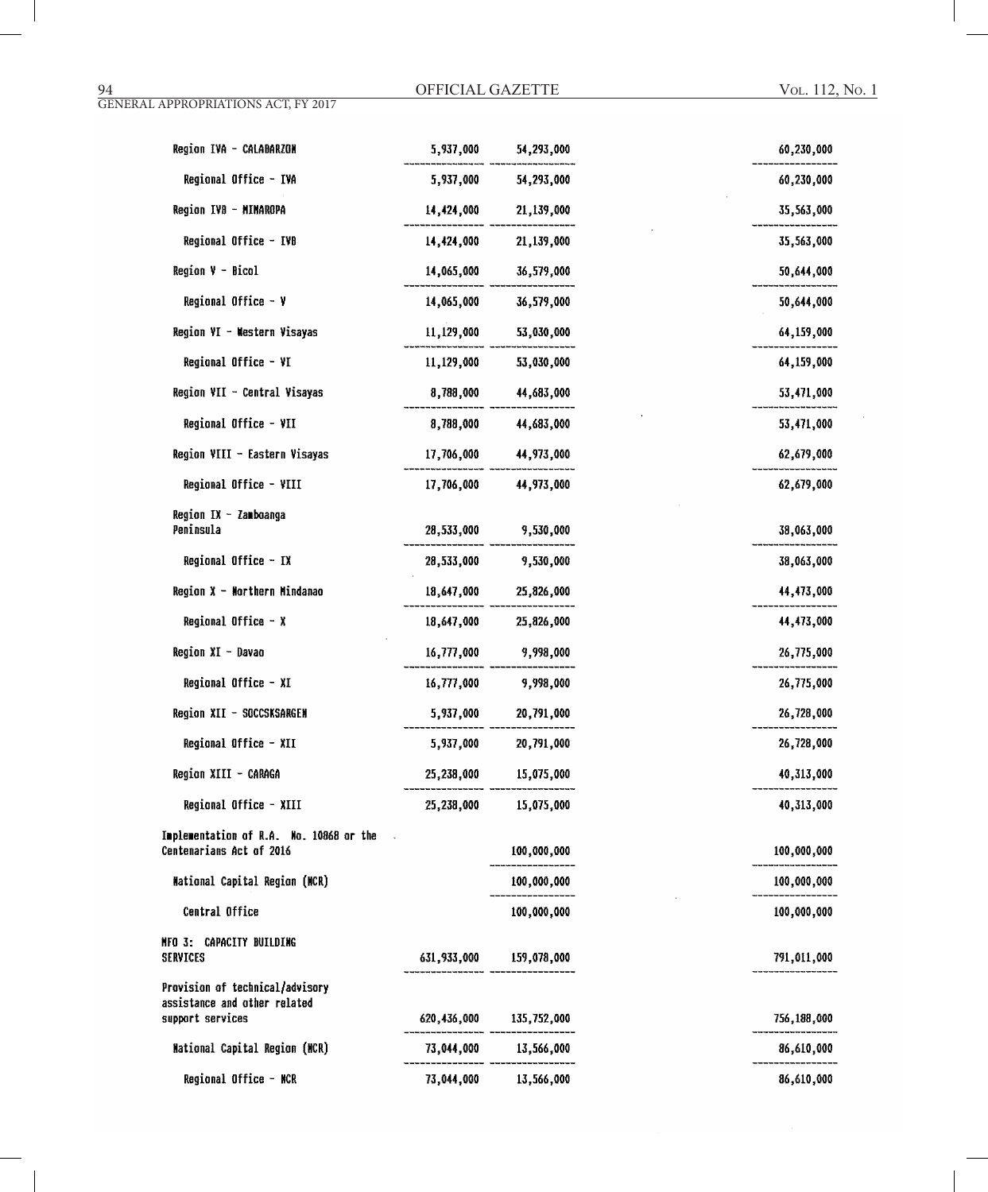| Region IVA - CALABARZON                                             | 5,937,000  | 54,293,000              | 60,230,000  |
|---------------------------------------------------------------------|------------|-------------------------|-------------|
| Regional Office - IVA                                               | 5,937,000  | 54,293,000              | 60,230,000  |
| Region IVB - MINAROPA                                               | 14,424,000 | 21,139,000              | 35,563,000  |
| Regional Office - IVB                                               | 14,424,000 | 21,139,000              | 35,563,000  |
| Region V - Bicol                                                    | 14,065,000 | 36,579,000              | 50,644,000  |
| Regional Office $-$ Y                                               | 14,065,000 | 36,579,000              | 50,644,000  |
| Region VI - Western Visayas                                         |            | 11,129,000 53,030,000   | 64,159,000  |
| Regional Office - VI                                                | 11,129,000 | 53,030,000              | 64,159,000  |
| Region VII - Central Visayas                                        | 8,788,000  | 44,683,000              | 53,471,000  |
| Regional Office - VII                                               | 8,788,000  | 44,683,000              | 53,471,000  |
| Region VIII - Eastern Visayas                                       | 17,706,000 | 44,973,000              | 62,679,000  |
| Regional Office - VIII                                              | 17,706,000 | 44,973,000              | 62,679,000  |
| Region IX - Zamboanga<br>Peninsula                                  | 28,533,000 | 9,530,000               | 38,063,000  |
| Regional Office - IX                                                | 28,533,000 | 9,530,000               | 38,063,000  |
| Region $X -$ Morthern Mindanao                                      | 18,647,000 | 25,826,000              | 44,473,000  |
| Regional Office - X                                                 | 18,647,000 | 25,826,000              | 44,473,000  |
| Region XI - Davao                                                   | 16,777,000 | 9,998,000               | 26,775,000  |
| Regional Office - XI                                                | 16,777,000 | 9,998,000               | 26,775,000  |
| Region XII - SOCCSKSARGEN                                           | 5,937,000  | 20,791,000              | 26,728,000  |
| Regional Office - XII                                               | 5,937,000  | 20,791,000              | 26,728,000  |
| Region XIII - CARAGA                                                | 25,238,000 | 15,075,000              | 40,313,000  |
| Regional Office - XIII                                              | 25,238,000 | 15,075,000              | 40,313,000  |
| Implementation of R.A. No. 10868 or the<br>Centenarians Act of 2016 |            | 100,000,000             | 100,000,000 |
| <b>Mational Capital Region (MCR)</b>                                |            | 100,000,000             | 100,000,000 |
| Central Office                                                      |            | 100,000,000             | 100,000,000 |
| NFO 3: CAPACITY BUILDING<br><b>SERVICES</b>                         |            | 631,933,000 159,078,000 | 791,011,000 |
| Provision of technical/advisory                                     |            |                         |             |
| assistance and other related<br>support services                    |            | 620,436,000 135,752,000 | 756,188,000 |
| <b>Mational Capital Region (NCR)</b>                                |            | 73,044,000 13,566,000   | 86,610,000  |
| Regional Office - MCR                                               |            | 73.044.000 13.566.000   | 86.610.000  |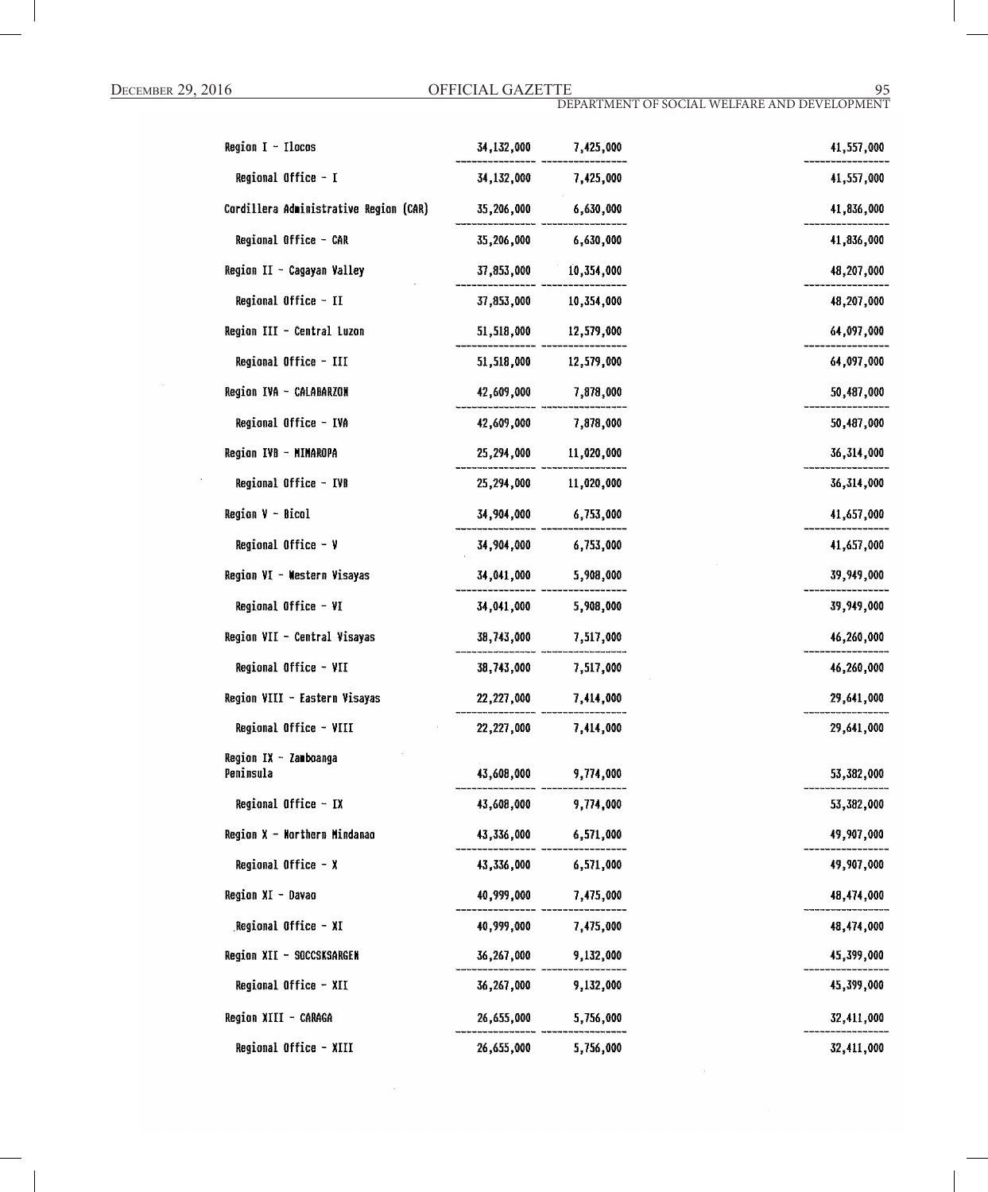| Region $I - I$ locos                   | 34,132,000            | 7,425,000             |
|----------------------------------------|-----------------------|-----------------------|
| Regional Office - I                    | 34,132,000            | 7,425,000             |
| Cordillera Administrative Region (CAR) | 35,206,000            | 6,630,000             |
| Regional Office - CAR                  |                       | 35,206,000 6,630,000  |
| Region II - Cagayan Valley             | 37,853,000            | 10,354,000            |
| Regional Office - II                   | 37,853,000            | 10,354,000            |
| Region III - Central Luzon             |                       | 51,518,000 12,579,000 |
| Regional Office - III                  |                       | 51,518,000 12,579,000 |
| Region IVA - CALABARZON                | 42,609,000            | 7,878,000             |
| Regional Office - IVA                  | 42,609,000            | 7,878,000             |
| Region IVB - MIMAROPA                  |                       | 25,294,000 11,020,000 |
| Regional Office - IVB                  | 25,294,000 11,020,000 |                       |
| Region V - Bicol                       |                       | 34,904,000 6,753,000  |
| Regional Office - V                    |                       | 34,904,000 6,753,000  |
| Region VI - Western Visayas            | 34,041,000            | 5,908,000             |
| Regional Office - VI                   | 34,041,000            | 5,908,000             |
| Region VII - Central Visayas           |                       | 38,743,000 7,517,000  |
| Regional Office - VII                  |                       | 38,743,000 7,517,000  |
| Region VIII - Eastern Visayas          | 22,227,000 7,414,000  |                       |
| Regional Office - VIII                 | 22,227,000            | 7,414,000             |
| Region IX - Zamboanga<br>Peninsula     | 43,608,000            | 9,774,000             |
| Regional Office - IX                   | 43,608,000            | 9,774,000             |
| Region X - Northern Mindanao           | 43,336,000            | 6,571,000             |
| Regional Office - X                    | 43,336,000            | 6,571,000             |
| Region XI - Davao                      | 40,999,000            | 7,475,000             |
| Regional Office - XI                   | 40,999,000            | 7,475,000             |
| Region XII - SOCCSKSARGEN              | 36,267,000            | 9,132,000             |
| Regional Office - XII                  | 36,267,000            | 9,132,000             |
| Region XIII - CARAGA                   | 26,655,000            | 5,756,000             |
| Regional Office - XIII                 | 26,655,000            | 5,756,000             |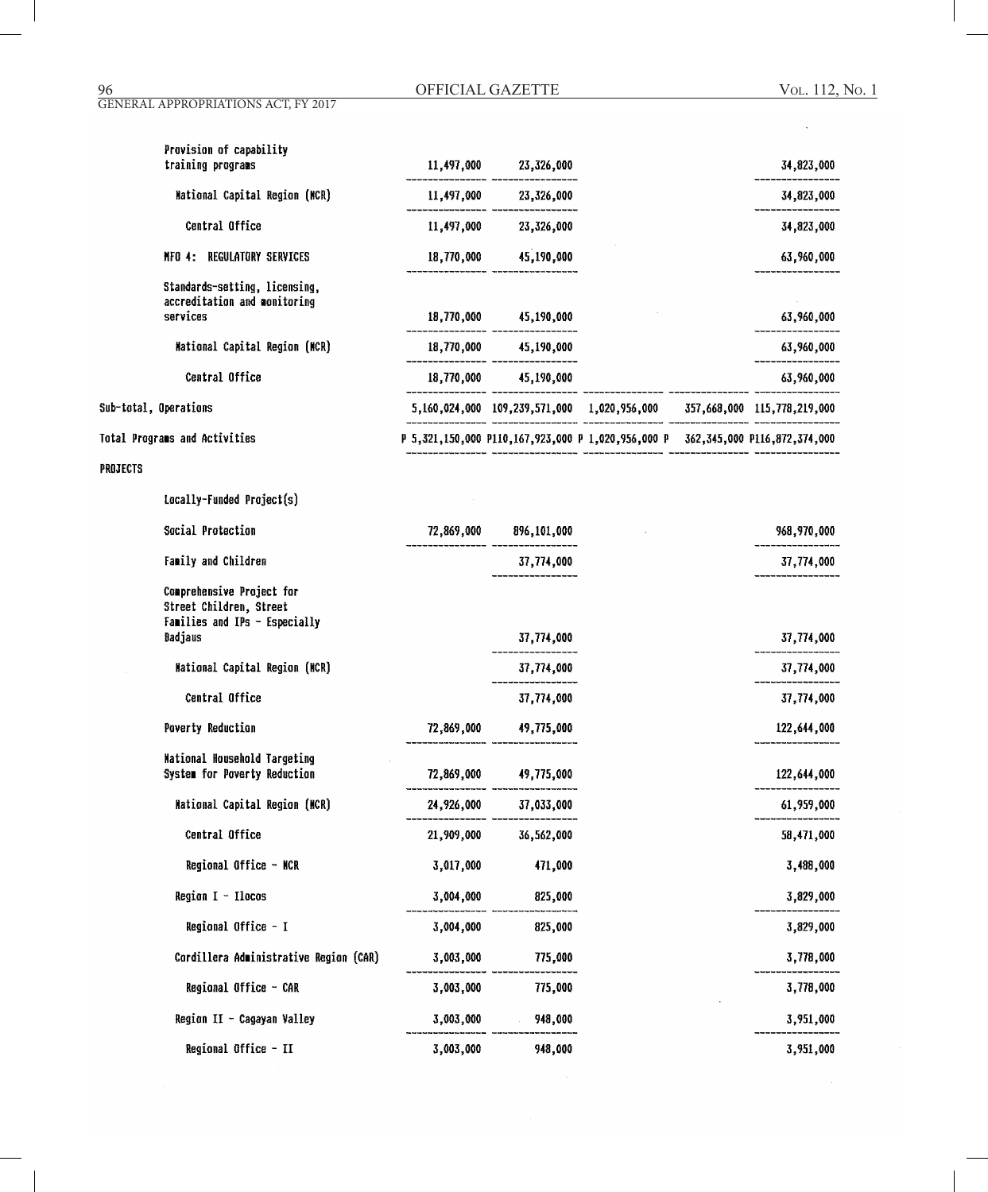OFFICIAL GAZETTE 96 Vol. 112, No. 1

 $\bar{\mathcal{A}}$ 

GENERAL APPROPRIATIONS ACT, FY 2017

|          | Provision of capability<br>training programs                                          |            | 11,497,000 23,326,000     |                                                                                 | 34,823,000  |
|----------|---------------------------------------------------------------------------------------|------------|---------------------------|---------------------------------------------------------------------------------|-------------|
|          | Mational Capital Region (MCR)                                                         |            | $11,497,000$ $23,326,000$ |                                                                                 | 34,823,000  |
|          | Central Office                                                                        |            | 11,497,000 23,326,000     |                                                                                 | 34,823,000  |
|          | REGULATORY SERVICES<br>$MP0$ 4:                                                       |            | 18,770,000 45,190,000     |                                                                                 | 63,960,000  |
|          | Standards-setting, licensing,<br>accreditation and monitoring                         |            |                           |                                                                                 |             |
|          | services                                                                              |            | $18,770,000$ $45,190,000$ |                                                                                 | 63,960,000  |
|          | Mational Capital Region (MCR)                                                         |            | $18,770,000$ $45,190,000$ |                                                                                 | 63,960,000  |
|          | Central Office                                                                        |            | 18,770,000 45,190,000     |                                                                                 | 63,960,000  |
|          | Sub-total, Operations                                                                 |            |                           | 5,160,024,000 109,239,571,000 1,020,956,000 357,668,000 115,778,219,000         |             |
|          | Total Programs and Activities                                                         |            |                           | P 5,321,150,000 P110,167,923,000 P 1,020,956,000 P 362,345,000 P116,872,374,000 |             |
| PROJECTS |                                                                                       |            |                           |                                                                                 |             |
|          | Locally-Funded Project(s)                                                             |            |                           |                                                                                 |             |
|          | Social Protection                                                                     |            | 72,869,000 896,101,000    |                                                                                 | 968,970,000 |
|          | Family and Children                                                                   |            | 37,774,000                |                                                                                 | 37,774,000  |
|          | Comprehensive Project for<br>Street Children, Street<br>Families and IPs - Especially |            |                           |                                                                                 |             |
|          | Badjaus                                                                               |            | 37,774,000                |                                                                                 | 37,774,000  |
|          | <b>Mational Capital Region (MCR)</b>                                                  |            | 37,774,000                |                                                                                 | 37,774,000  |
|          | Central Office                                                                        |            | 37,774,000                |                                                                                 | 37,774,000  |
|          | Poverty Reduction                                                                     | 72,869,000 | 49,775,000                |                                                                                 | 122,644,000 |
|          | <b>Mational Household Targeting</b><br>System for Poverty Reduction                   | 72,869,000 | 49,775,000                |                                                                                 | 122,644,000 |
|          | Mational Capital Region (MCR)                                                         | 24,926,000 | 37,033,000                |                                                                                 | 61,959,000  |
|          | Central Office                                                                        | 21,909,000 | 36,562,000                |                                                                                 | 58,471,000  |
|          | Regional Office - NCR                                                                 | 3,017,000  | 471,000                   |                                                                                 | 3,488,000   |
|          | Region $I - I$ locos                                                                  | 3,004,000  | 825,000                   |                                                                                 | 3,829,000   |
|          | Regional Office - I                                                                   | 3,004,000  | 825,000                   |                                                                                 | 3,829,000   |
|          | Cordillera Administrative Region (CAR)                                                | 3,003,000  | 775,000                   |                                                                                 | 3,778,000   |
|          | Regional Office - CAR                                                                 | 3,003,000  | 775,000                   |                                                                                 | 3,778,000   |
|          | Region II - Cagayan Valley                                                            | 3,003,000  | 948,000                   |                                                                                 | 3,951,000   |
|          | Regional Office - II                                                                  | 3,003,000  | 948,000                   |                                                                                 | 3,951,000   |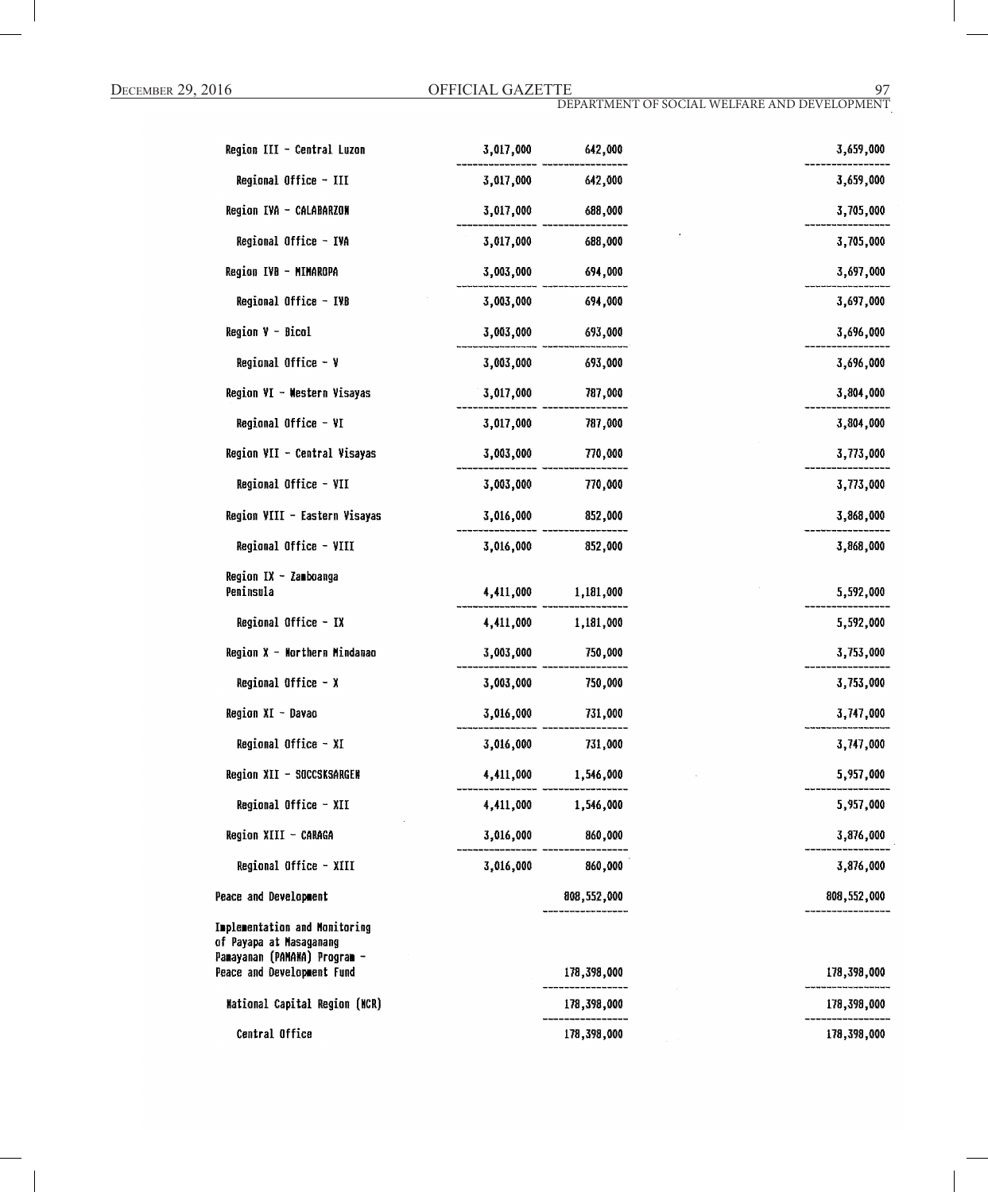| Region III - Central Luzon                                                               | 3,017,000 | 642,000             | 3,659,000   |
|------------------------------------------------------------------------------------------|-----------|---------------------|-------------|
| Regional Office - III                                                                    | 3,017,000 | 642,000             | 3,659,000   |
| Region IVA - CALABARZON                                                                  | 3,017,000 | 688,000             | 3,705,000   |
| Regional Office - IVA                                                                    | 3,017,000 | 688,000             | 3,705,000   |
| Region IVB - MIMAROPA                                                                    | 3,003,000 | 694,000             | 3,697,000   |
| Regional Office - IVB                                                                    | 3,003,000 | 694,000             | 3,697,000   |
| Region V - Bicol                                                                         |           | 3,003,000 693,000   | 3,696,000   |
| Regional Office - V                                                                      | 3,003,000 | 693,000             | 3,696,000   |
| Region VI - Western Visayas                                                              | 3,017,000 | 787,000             | 3,804,000   |
| Regional Office - VI                                                                     | 3,017,000 | 787,000             | 3,804,000   |
| Region VII - Central Visayas                                                             | 3,003,000 | 770,000             | 3,773,000   |
| Regional Office - VII                                                                    | 3,003,000 | 770,000             | 3,773,000   |
| Region VIII - Eastern Visayas                                                            | 3,016,000 | 852,000             | 3,868,000   |
| Regional Office - VIII                                                                   | 3,016,000 | 852,000             | 3,868,000   |
| Region IX - Zamboanga<br>Peninsula                                                       |           | 4,411,000 1,181,000 | 5,592,000   |
| Regional Office - IX                                                                     | 4,411,000 | 1,181,000           | 5,592,000   |
| Region X - Northern Mindanao                                                             | 3,003,000 | 750,000             | 3,753,000   |
| Regional Office $- x$                                                                    | 3,003,000 | 750,000             | 3,753,000   |
| Region XI - Davao                                                                        | 3,016,000 | 731,000             | 3,747,000   |
| Regional Office - XI                                                                     | 3,016,000 | 731,000             | 3,747,000   |
| Region XII - SOCCSKSARGEN                                                                |           | 4,411,000 1,546,000 | 5,957,000   |
| Regional Office - XII                                                                    | 4,411,000 | 1,546,000           | 5,957,000   |
| Region XIII - CARAGA                                                                     | 3,016,000 | 860,000             | 3,876,000   |
| Regional Office - XIII                                                                   |           | 3,016,000 860,000   | 3,876,000   |
| Peace and Development                                                                    |           | 808,552,000         | 808,552,000 |
| Implementation and Monitoring<br>of Payapa at Masaganang<br>Panayanan (PAMANA) Program - |           |                     |             |
| Peace and Development Fund                                                               |           | 178,398,000         | 178,398,000 |
| <b>Mational Capital Region (NCR)</b>                                                     |           | 178,398,000         | 178,398,000 |
| Central Office                                                                           |           | 178,398,000         | 178,398,000 |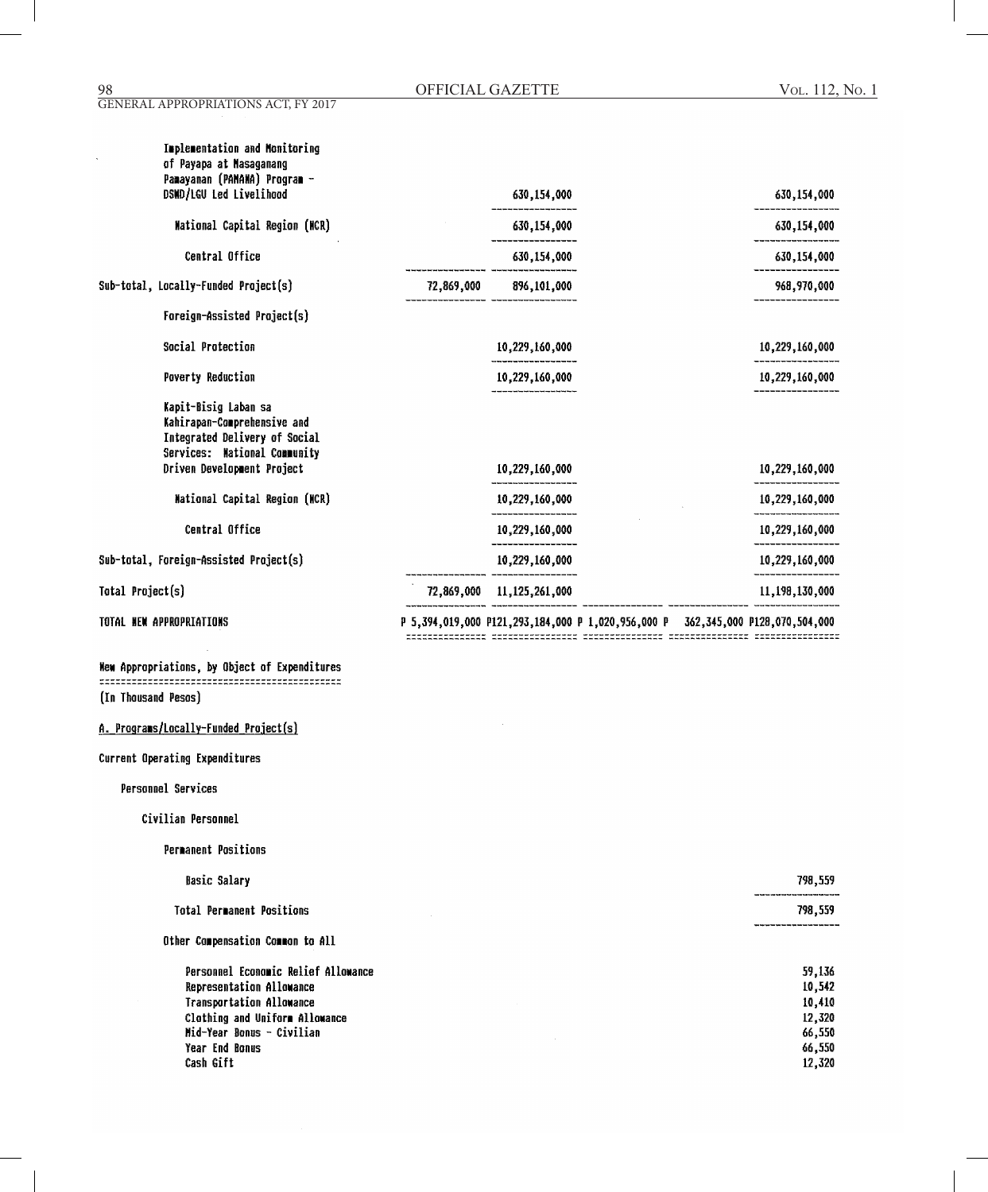| <b>Implementation and Monitoring</b><br>of Payapa at Nasaganang<br>Pamayanan (PAMAHA) Program -<br>DSMD/LGU Led Livelihood                         |            | 630,154,000       | 630,154,000    |
|----------------------------------------------------------------------------------------------------------------------------------------------------|------------|-------------------|----------------|
| Mational Capital Region (NCR)                                                                                                                      |            | 630, 154, 000     | 630,154,000    |
| Central Office                                                                                                                                     |            | 630,154,000       | 630,154,000    |
| Sub-total, Locally-Funded Project(s)                                                                                                               | 72,869,000 | 896,101,000       | 968,970,000    |
| Foreign-Assisted Project(s)                                                                                                                        |            |                   |                |
| Social Protection                                                                                                                                  |            | 10,229,160,000    | 10,229,160,000 |
| <b>Poverty Reduction</b>                                                                                                                           |            | 10,229,160,000    | 10,229,160,000 |
| Kapit-Bisig Laban sa<br>Kahirapan-Comprehensive and<br>Integrated Delivery of Social<br>Services: National Community<br>Driven Development Project |            | 10,229,160,000    | 10,229,160,000 |
|                                                                                                                                                    |            |                   |                |
| Mational Capital Region (NCR)                                                                                                                      |            | 10,229,160,000    | 10,229,160,000 |
| Central Office                                                                                                                                     |            | 10,229,160,000    | 10,229,160,000 |
| Sub-total, Foreign-Assisted Project(s)                                                                                                             |            | 10,229,160,000    | 10,229,160,000 |
| Total Project(s)                                                                                                                                   | 72,869,000 | 11, 125, 261, 000 | 11,198,130,000 |
|                                                                                                                                                    |            |                   |                |

TOTAL NEW APPROPRIATIONS

Wew Appropriations, by Object of Expenditures (In Thousand Pesos)

# A. Programs/Locally-Funded Project(s)

Current Operating Expenditures

Personnel Services

- Civilian Personnel
	- **Permanent Positions**

| <b>Basic Salary</b>                 | 798,559     |
|-------------------------------------|-------------|
| <b>Total Permanent Positions</b>    | <br>798,559 |
| Other Compensation Common to All    |             |
| Personnel Economic Relief Allowance | 59,136      |
| Representation Allowance            | 10,542      |
| <b>Transportation Allowance</b>     | 10,410      |
| Clothing and Uniform Allowance      | 12,320      |
| Mid-Year Bonus - Civilian           | 66,550      |
| Year End Bonus                      | 66,550      |
| Cash Gift                           | 12,320      |

P 5,394,019,000 P121,293,184,000 P 1,020,956,000 P 362,345,000 P128,070,504,000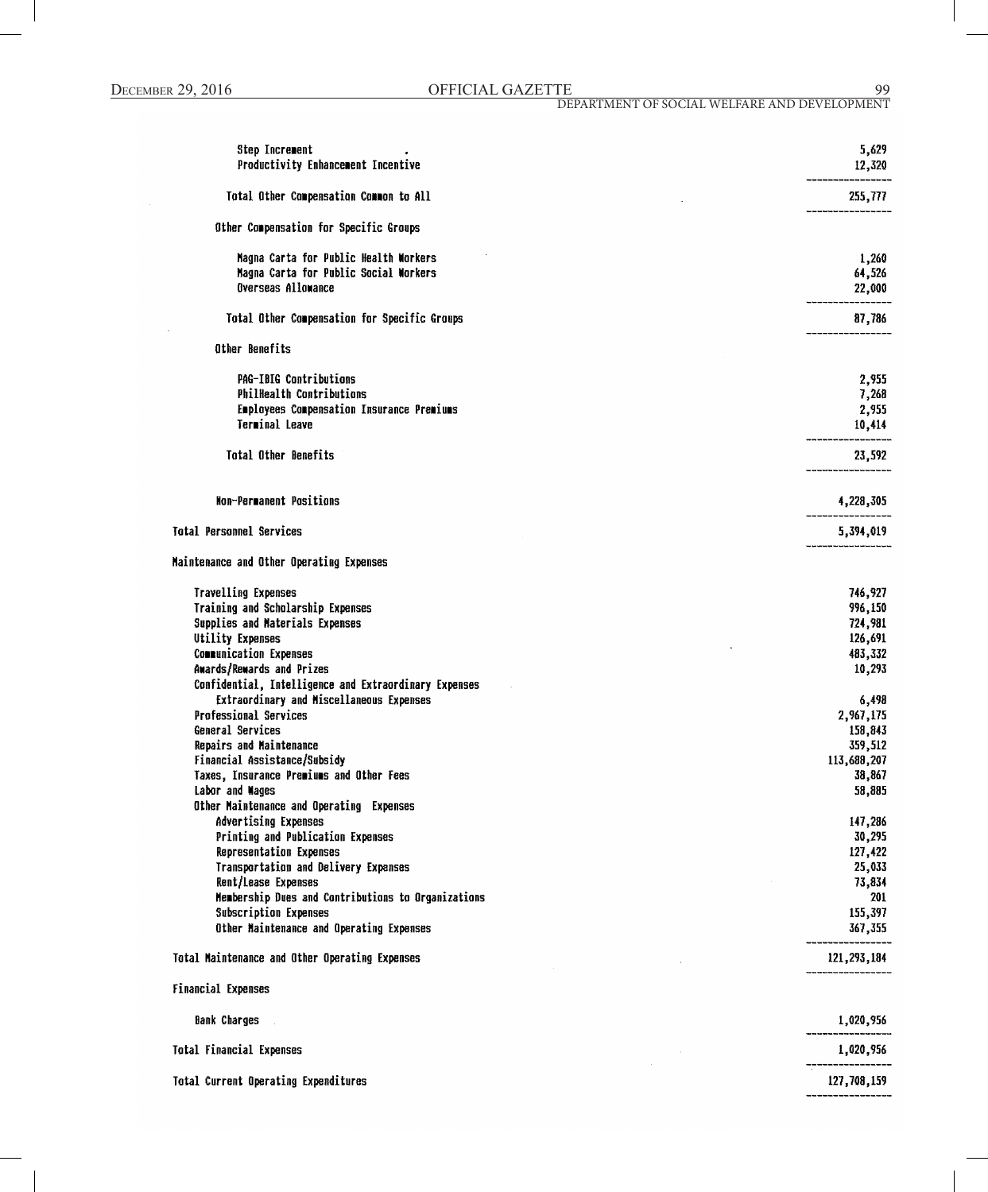| Step Increment<br>Productivity Enhancement Incentive               | 5,629<br>12,320       |
|--------------------------------------------------------------------|-----------------------|
| Total Other Compensation Common to All                             | 255,777               |
| Other Compensation for Specific Groups                             |                       |
| Magna Carta for Public Health Workers                              | 1,260                 |
| Magna Carta for Public Social Workers<br><b>Overseas Allowance</b> | 64,526<br>22,000      |
| Total Other Compensation for Specific Groups                       | 87,786                |
| Other Benefits                                                     |                       |
| <b>PAG-IBIG Contributions</b>                                      | 2,955                 |
| <b>PhilHealth Contributions</b>                                    | 7,268                 |
| Employees Compensation Insurance Premiums<br>Terminal Leave        | 2,955                 |
|                                                                    | 10,414                |
| <b>Total Other Benefits</b>                                        | 23,592                |
| Non-Permanent Positions                                            | 4,228,305             |
| <b>Total Personnel Services</b>                                    | 5,394,019             |
| Maintenance and Other Operating Expenses                           |                       |
| <b>Travelling Expenses</b>                                         | 746,927               |
| Training and Scholarship Expenses                                  | 996,150               |
| Supplies and Materials Expenses                                    | 724,981               |
| Utility Expenses<br><b>Communication Expenses</b>                  | 126,691               |
| Awards/Rewards and Prizes                                          | 483,332<br>10,293     |
| Confidential, Intelligence and Extraordinary Expenses              |                       |
| Extraordinary and Miscellaneous Expenses                           | 6,498                 |
| Professional Services                                              | 2,967,175             |
| General Services                                                   | 158,843               |
| Repairs and Maintenance<br>Financial Assistance/Subsidy            | 359,512               |
| Taxes, Insurance Premiums and Other Fees                           | 113,688,207<br>38,867 |
| Labor and Wages                                                    | 58,885                |
| Other Maintenance and Operating Expenses                           |                       |
| Advertising Expenses                                               | 147,286               |
| Printing and Publication Expenses                                  | 30,295                |
| Representation Expenses<br>Transportation and Delivery Expenses    | 127,422               |
| Rent/Lease Expenses                                                | 25,033<br>73,834      |
| Membership Dues and Contributions to Organizations                 | 201                   |
| Subscription Expenses                                              | 155,397               |
| Other Maintenance and Operating Expenses                           | 367,355               |
| Total Maintenance and Other Operating Expenses                     | 121, 293, 184         |
| <b>Financial Expenses</b>                                          |                       |
| <b>Bank Charges</b>                                                | 1,020,956             |
| <b>Total Financial Expenses</b>                                    | 1,020,956             |
| Total Current Operating Expenditures                               | 127,708,159           |